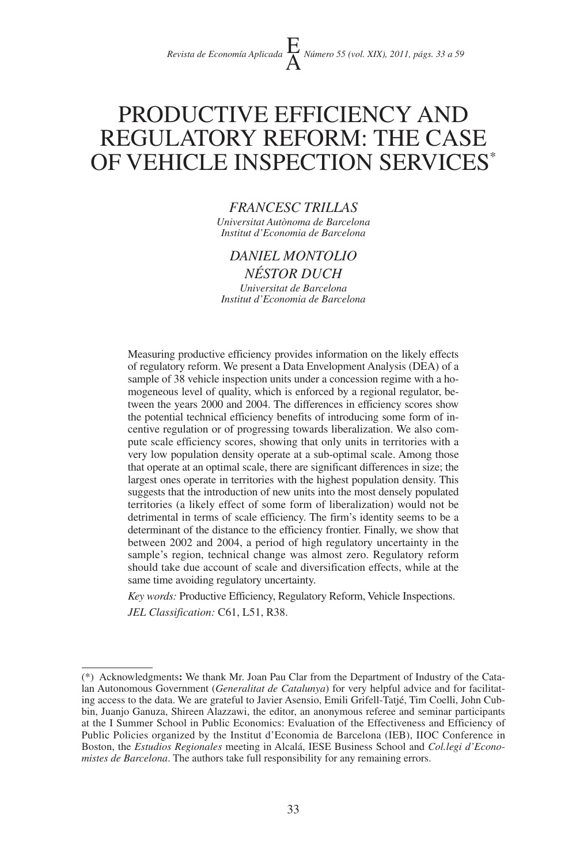# PRODUCTIVE EFFICIENCY AND REGULATORY REFORM: THE CASE OF VEHICLE INSPECTION SERVICES\*

# *FRANCESC TRILLAS*

*Universitat Autònoma de Barcelona Institut d'Economia de Barcelona*

# *DANIEL MONTOLIO*

*NÉSTOR DUCH Universitat de Barcelona Institut d'Economia de Barcelona*

Measuring productive efficiency provides information on the likely effects of regulatory reform. We present a Data Envelopment Analysis (DEA) of a sample of 38 vehicle inspection units under a concession regime with a homogeneous level of quality, which is enforced by a regional regulator, between the years 2000 and 2004. The differences in efficiency scores show the potential technical efficiency benefits of introducing some form of incentive regulation or of progressing towards liberalization. We also compute scale efficiency scores, showing that only units in territories with a very low population density operate at a sub-optimal scale. Among those that operate at an optimal scale, there are significant differences in size; the largest ones operate in territories with the highest population density. This suggests that the introduction of new units into the most densely populated territories (a likely effect of some form of liberalization) would not be detrimental in terms of scale efficiency. The firm's identity seems to be a determinant of the distance to the efficiency frontier. Finally, we show that between 2002 and 2004, a period of high regulatory uncertainty in the sample's region, technical change was almost zero. Regulatory reform should take due account of scale and diversification effects, while at the same time avoiding regulatory uncertainty.

*Key words:* Productive Efficiency, Regulatory Reform, Vehicle Inspections.

*JEL Classification:* C61, L51, R38.

<sup>(\*)</sup> Acknowledgments**:** We thank Mr. Joan Pau Clar from the Department of Industry of the Catalan Autonomous Government (*Generalitat de Catalunya*) for very helpful advice and for facilitating access to the data. We are grateful to Javier Asensio, Emili Grifell-Tatjé, Tim Coelli, John Cubbin, Juanjo Ganuza, Shireen Alazzawi, the editor, an anonymous referee and seminar participants at the I Summer School in Public Economics: Evaluation of the Effectiveness and Efficiency of Public Policies organized by the Institut d'Economia de Barcelona (IEB), IIOC Conference in Boston, the *Estudios Regionales* meeting in Alcalá, IESE Business School and *Col.legi d'Economistes de Barcelona*. The authors take full responsibility for any remaining errors.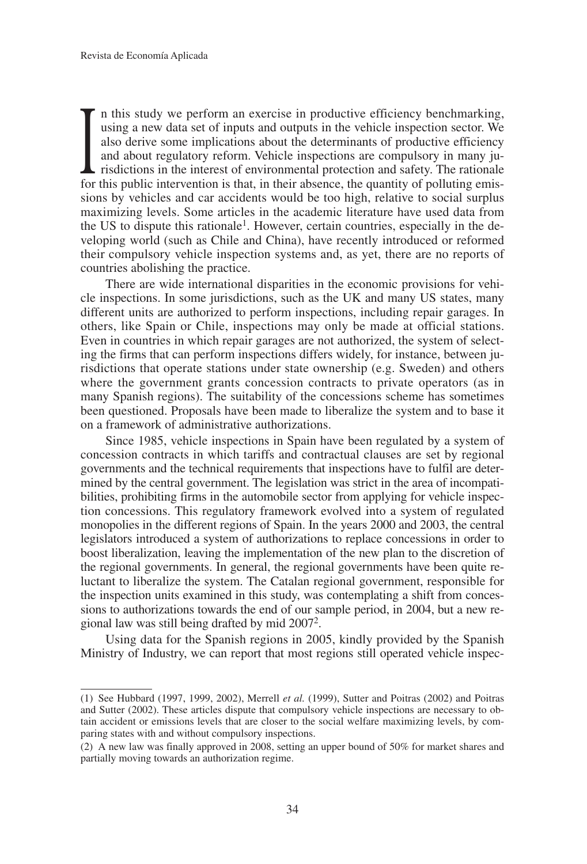also derive some implications about the determinants of productive efficiency and about regulatory reform. Vehicle inspections are compulsory in many jurisdictions in the interest of environmental protection and safety. Th n this study we perform an exercise in productive efficiency benchmarking, using a new data set of inputs and outputs in the vehicle inspection sector. We also derive some implications about the determinants of productive efficiency and about regulatory reform. Vehicle inspections are compulsory in many jurisdictions in the interest of environmental protection and safety. The rationale sions by vehicles and car accidents would be too high, relative to social surplus maximizing levels. Some articles in the academic literature have used data from the US to dispute this rationale1. However, certain countries, especially in the developing world (such as Chile and China), have recently introduced or reformed their compulsory vehicle inspection systems and, as yet, there are no reports of countries abolishing the practice.

There are wide international disparities in the economic provisions for vehicle inspections. In some jurisdictions, such as the UK and many US states, many different units are authorized to perform inspections, including repair garages. In others, like Spain or Chile, inspections may only be made at official stations. Even in countries in which repair garages are not authorized, the system of selecting the firms that can perform inspections differs widely, for instance, between jurisdictions that operate stations under state ownership (e.g. Sweden) and others where the government grants concession contracts to private operators (as in many Spanish regions). The suitability of the concessions scheme has sometimes been questioned. Proposals have been made to liberalize the system and to base it on a framework of administrative authorizations.

Since 1985, vehicle inspections in Spain have been regulated by a system of concession contracts in which tariffs and contractual clauses are set by regional governments and the technical requirements that inspections have to fulfil are determined by the central government. The legislation was strict in the area of incompatibilities, prohibiting firms in the automobile sector from applying for vehicle inspection concessions. This regulatory framework evolved into a system of regulated monopolies in the different regions of Spain. In the years 2000 and 2003, the central legislators introduced a system of authorizations to replace concessions in order to boost liberalization, leaving the implementation of the new plan to the discretion of the regional governments. In general, the regional governments have been quite reluctant to liberalize the system. The Catalan regional government, responsible for the inspection units examined in this study, was contemplating a shift from concessions to authorizations towards the end of our sample period, in 2004, but a new regional law was still being drafted by mid 20072.

Using data for the Spanish regions in 2005, kindly provided by the Spanish Ministry of Industry, we can report that most regions still operated vehicle inspec-

<sup>(1)</sup> See Hubbard (1997, 1999, 2002), Merrell *et al.* (1999), Sutter and Poitras (2002) and Poitras and Sutter (2002). These articles dispute that compulsory vehicle inspections are necessary to obtain accident or emissions levels that are closer to the social welfare maximizing levels, by comparing states with and without compulsory inspections.

<sup>(2)</sup> A new law was finally approved in 2008, setting an upper bound of 50% for market shares and partially moving towards an authorization regime.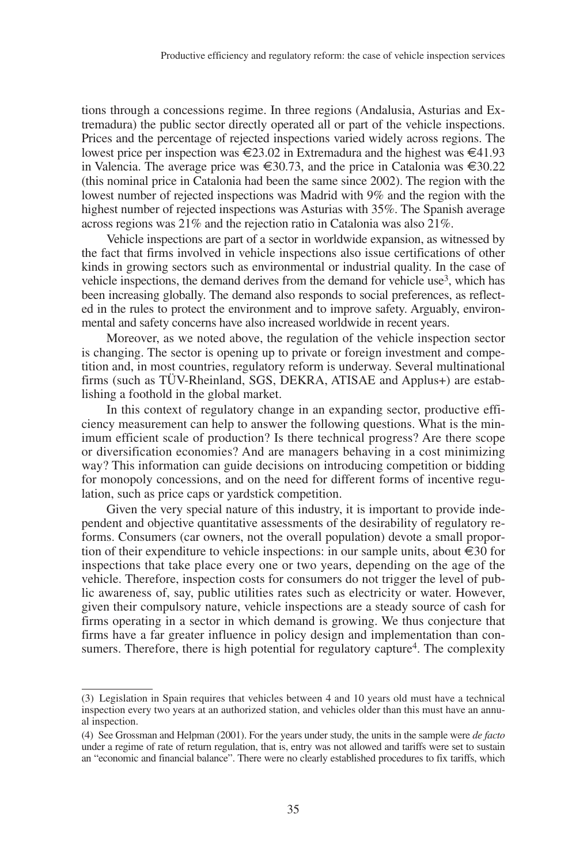tions through a concessions regime. In three regions (Andalusia, Asturias and Extremadura) the public sector directly operated all or part of the vehicle inspections. Prices and the percentage of rejected inspections varied widely across regions. The lowest price per inspection was €23.02 in Extremadura and the highest was €41.93 in Valencia. The average price was  $\epsilon \leq 30.73$ , and the price in Catalonia was  $\epsilon \leq 30.22$ (this nominal price in Catalonia had been the same since 2002). The region with the lowest number of rejected inspections was Madrid with 9% and the region with the highest number of rejected inspections was Asturias with 35%. The Spanish average across regions was 21% and the rejection ratio in Catalonia was also 21%.

Vehicle inspections are part of a sector in worldwide expansion, as witnessed by the fact that firms involved in vehicle inspections also issue certifications of other kinds in growing sectors such as environmental or industrial quality. In the case of vehicle inspections, the demand derives from the demand for vehicle use<sup>3</sup>, which has been increasing globally. The demand also responds to social preferences, as reflected in the rules to protect the environment and to improve safety. Arguably, environmental and safety concerns have also increased worldwide in recent years.

Moreover, as we noted above, the regulation of the vehicle inspection sector is changing. The sector is opening up to private or foreign investment and competition and, in most countries, regulatory reform is underway. Several multinational firms (such as TÜV-Rheinland, SGS, DEKRA, ATISAE and Applus+) are establishing a foothold in the global market.

In this context of regulatory change in an expanding sector, productive efficiency measurement can help to answer the following questions. What is the minimum efficient scale of production? Is there technical progress? Are there scope or diversification economies? And are managers behaving in a cost minimizing way? This information can guide decisions on introducing competition or bidding for monopoly concessions, and on the need for different forms of incentive regulation, such as price caps or yardstick competition.

Given the very special nature of this industry, it is important to provide independent and objective quantitative assessments of the desirability of regulatory reforms. Consumers (car owners, not the overall population) devote a small proportion of their expenditure to vehicle inspections: in our sample units, about  $\epsilon$ 30 for inspections that take place every one or two years, depending on the age of the vehicle. Therefore, inspection costs for consumers do not trigger the level of public awareness of, say, public utilities rates such as electricity or water. However, given their compulsory nature, vehicle inspections are a steady source of cash for firms operating in a sector in which demand is growing. We thus conjecture that firms have a far greater influence in policy design and implementation than consumers. Therefore, there is high potential for regulatory capture<sup>4</sup>. The complexity

<sup>(3)</sup> Legislation in Spain requires that vehicles between 4 and 10 years old must have a technical inspection every two years at an authorized station, and vehicles older than this must have an annual inspection.

<sup>(4)</sup> See Grossman and Helpman (2001). For the years under study, the units in the sample were *de facto* under a regime of rate of return regulation, that is, entry was not allowed and tariffs were set to sustain an "economic and financial balance". There were no clearly established procedures to fix tariffs, which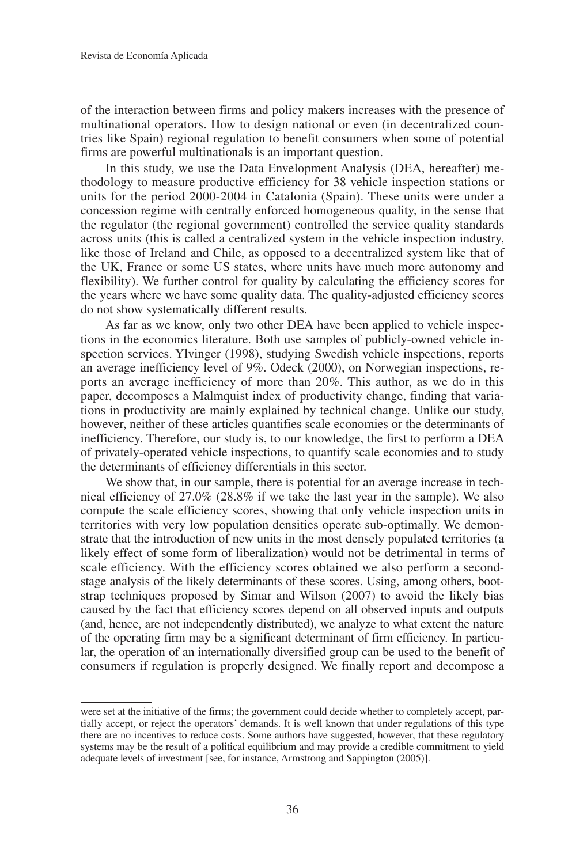of the interaction between firms and policy makers increases with the presence of multinational operators. How to design national or even (in decentralized countries like Spain) regional regulation to benefit consumers when some of potential firms are powerful multinationals is an important question.

In this study, we use the Data Envelopment Analysis (DEA, hereafter) methodology to measure productive efficiency for 38 vehicle inspection stations or units for the period 2000-2004 in Catalonia (Spain). These units were under a concession regime with centrally enforced homogeneous quality, in the sense that the regulator (the regional government) controlled the service quality standards across units (this is called a centralized system in the vehicle inspection industry, like those of Ireland and Chile, as opposed to a decentralized system like that of the UK, France or some US states, where units have much more autonomy and flexibility). We further control for quality by calculating the efficiency scores for the years where we have some quality data. The quality-adjusted efficiency scores do not show systematically different results.

As far as we know, only two other DEA have been applied to vehicle inspections in the economics literature. Both use samples of publicly-owned vehicle inspection services. Ylvinger (1998), studying Swedish vehicle inspections, reports an average inefficiency level of 9%. Odeck (2000), on Norwegian inspections, reports an average inefficiency of more than 20%. This author, as we do in this paper, decomposes a Malmquist index of productivity change, finding that variations in productivity are mainly explained by technical change. Unlike our study, however, neither of these articles quantifies scale economies or the determinants of inefficiency. Therefore, our study is, to our knowledge, the first to perform a DEA of privately-operated vehicle inspections, to quantify scale economies and to study the determinants of efficiency differentials in this sector.

We show that, in our sample, there is potential for an average increase in technical efficiency of 27.0% (28.8% if we take the last year in the sample). We also compute the scale efficiency scores, showing that only vehicle inspection units in territories with very low population densities operate sub-optimally. We demonstrate that the introduction of new units in the most densely populated territories (a likely effect of some form of liberalization) would not be detrimental in terms of scale efficiency. With the efficiency scores obtained we also perform a secondstage analysis of the likely determinants of these scores. Using, among others, bootstrap techniques proposed by Simar and Wilson (2007) to avoid the likely bias caused by the fact that efficiency scores depend on all observed inputs and outputs (and, hence, are not independently distributed), we analyze to what extent the nature of the operating firm may be a significant determinant of firm efficiency. In particular, the operation of an internationally diversified group can be used to the benefit of consumers if regulation is properly designed. We finally report and decompose a

were set at the initiative of the firms; the government could decide whether to completely accept, partially accept, or reject the operators' demands. It is well known that under regulations of this type there are no incentives to reduce costs. Some authors have suggested, however, that these regulatory systems may be the result of a political equilibrium and may provide a credible commitment to yield adequate levels of investment [see, for instance, Armstrong and Sappington (2005)].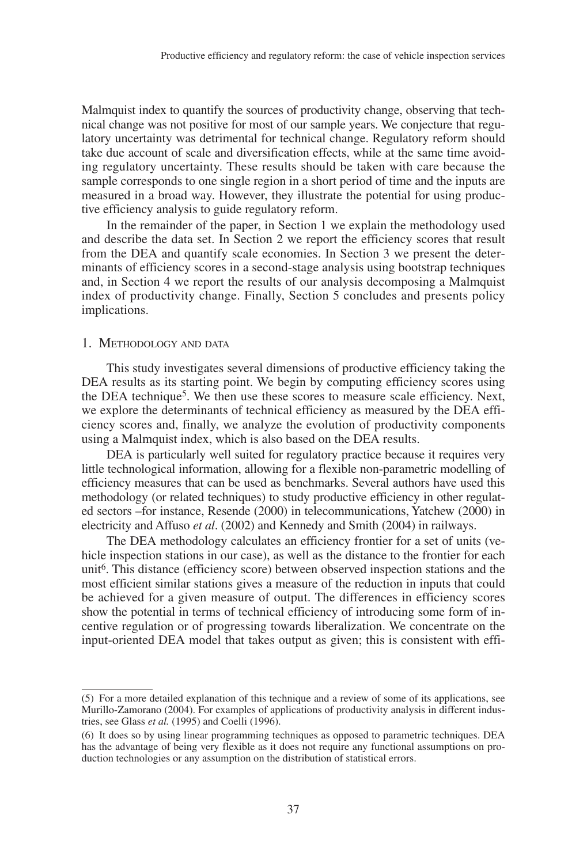Malmquist index to quantify the sources of productivity change, observing that technical change was not positive for most of our sample years. We conjecture that regulatory uncertainty was detrimental for technical change. Regulatory reform should take due account of scale and diversification effects, while at the same time avoiding regulatory uncertainty. These results should be taken with care because the sample corresponds to one single region in a short period of time and the inputs are measured in a broad way. However, they illustrate the potential for using productive efficiency analysis to guide regulatory reform.

In the remainder of the paper, in Section 1 we explain the methodology used and describe the data set. In Section 2 we report the efficiency scores that result from the DEA and quantify scale economies. In Section 3 we present the determinants of efficiency scores in a second-stage analysis using bootstrap techniques and, in Section 4 we report the results of our analysis decomposing a Malmquist index of productivity change. Finally, Section 5 concludes and presents policy implications.

### 1. METHODOLOGY AND DATA

This study investigates several dimensions of productive efficiency taking the DEA results as its starting point. We begin by computing efficiency scores using the DEA technique5. We then use these scores to measure scale efficiency. Next, we explore the determinants of technical efficiency as measured by the DEA efficiency scores and, finally, we analyze the evolution of productivity components using a Malmquist index, which is also based on the DEA results.

DEA is particularly well suited for regulatory practice because it requires very little technological information, allowing for a flexible non-parametric modelling of efficiency measures that can be used as benchmarks. Several authors have used this methodology (or related techniques) to study productive efficiency in other regulated sectors –for instance, Resende (2000) in telecommunications, Yatchew (2000) in electricity and Affuso *et al*. (2002) and Kennedy and Smith (2004) in railways.

The DEA methodology calculates an efficiency frontier for a set of units (vehicle inspection stations in our case), as well as the distance to the frontier for each unit<sup>6</sup>. This distance (efficiency score) between observed inspection stations and the most efficient similar stations gives a measure of the reduction in inputs that could be achieved for a given measure of output. The differences in efficiency scores show the potential in terms of technical efficiency of introducing some form of incentive regulation or of progressing towards liberalization. We concentrate on the input-oriented DEA model that takes output as given; this is consistent with effi-

<sup>(5)</sup> For a more detailed explanation of this technique and a review of some of its applications, see Murillo-Zamorano (2004). For examples of applications of productivity analysis in different industries, see Glass *et al.* (1995) and Coelli (1996).

<sup>(6)</sup> It does so by using linear programming techniques as opposed to parametric techniques. DEA has the advantage of being very flexible as it does not require any functional assumptions on production technologies or any assumption on the distribution of statistical errors.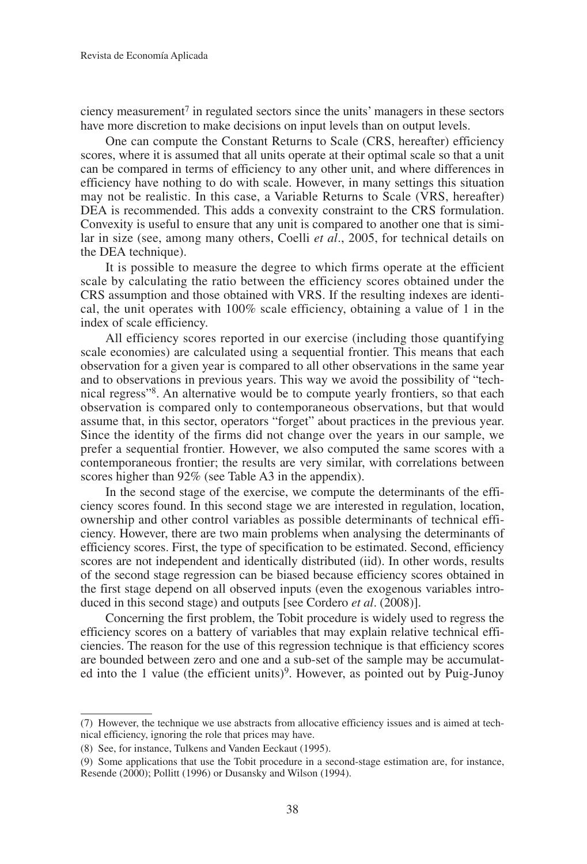ciency measurement<sup> $7$ </sup> in regulated sectors since the units' managers in these sectors have more discretion to make decisions on input levels than on output levels.

One can compute the Constant Returns to Scale (CRS, hereafter) efficiency scores, where it is assumed that all units operate at their optimal scale so that a unit can be compared in terms of efficiency to any other unit, and where differences in efficiency have nothing to do with scale. However, in many settings this situation may not be realistic. In this case, a Variable Returns to Scale (VRS, hereafter) DEA is recommended. This adds a convexity constraint to the CRS formulation. Convexity is useful to ensure that any unit is compared to another one that is similar in size (see, among many others, Coelli *et al*., 2005, for technical details on the DEA technique).

It is possible to measure the degree to which firms operate at the efficient scale by calculating the ratio between the efficiency scores obtained under the CRS assumption and those obtained with VRS. If the resulting indexes are identical, the unit operates with 100% scale efficiency, obtaining a value of 1 in the index of scale efficiency.

All efficiency scores reported in our exercise (including those quantifying scale economies) are calculated using a sequential frontier. This means that each observation for a given year is compared to all other observations in the same year and to observations in previous years. This way we avoid the possibility of "technical regress"8. An alternative would be to compute yearly frontiers, so that each observation is compared only to contemporaneous observations, but that would assume that, in this sector, operators "forget" about practices in the previous year. Since the identity of the firms did not change over the years in our sample, we prefer a sequential frontier. However, we also computed the same scores with a contemporaneous frontier; the results are very similar, with correlations between scores higher than 92% (see Table A3 in the appendix).

In the second stage of the exercise, we compute the determinants of the efficiency scores found. In this second stage we are interested in regulation, location, ownership and other control variables as possible determinants of technical efficiency. However, there are two main problems when analysing the determinants of efficiency scores. First, the type of specification to be estimated. Second, efficiency scores are not independent and identically distributed (iid). In other words, results of the second stage regression can be biased because efficiency scores obtained in the first stage depend on all observed inputs (even the exogenous variables introduced in this second stage) and outputs [see Cordero *et al*. (2008)].

Concerning the first problem, the Tobit procedure is widely used to regress the efficiency scores on a battery of variables that may explain relative technical efficiencies. The reason for the use of this regression technique is that efficiency scores are bounded between zero and one and a sub-set of the sample may be accumulated into the 1 value (the efficient units)<sup>9</sup>. However, as pointed out by Puig-Junoy

<sup>(7)</sup> However, the technique we use abstracts from allocative efficiency issues and is aimed at technical efficiency, ignoring the role that prices may have.

<sup>(8)</sup> See, for instance, Tulkens and Vanden Eeckaut (1995).

<sup>(9)</sup> Some applications that use the Tobit procedure in a second-stage estimation are, for instance, Resende (2000); Pollitt (1996) or Dusansky and Wilson (1994).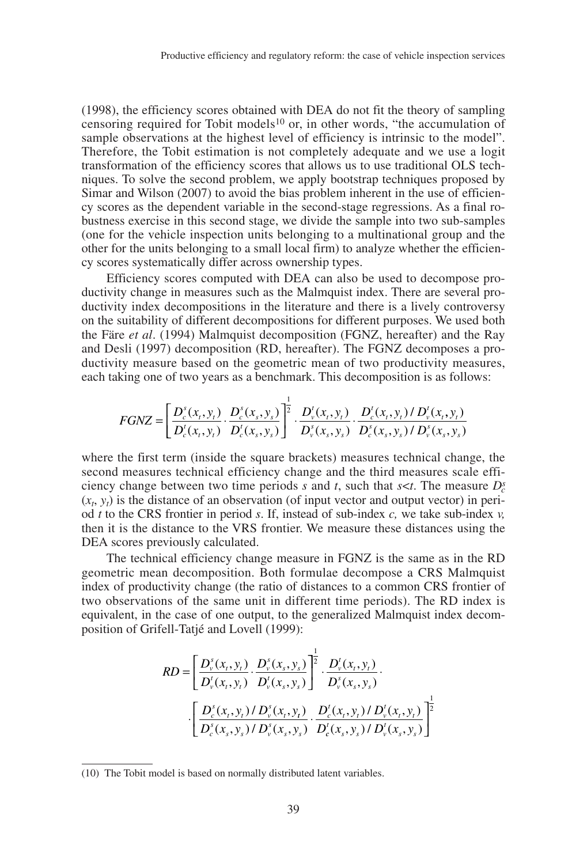(1998), the efficiency scores obtained with DEA do not fit the theory of sampling censoring required for Tobit models<sup>10</sup> or, in other words, "the accumulation of sample observations at the highest level of efficiency is intrinsic to the model". Therefore, the Tobit estimation is not completely adequate and we use a logit transformation of the efficiency scores that allows us to use traditional OLS techniques. To solve the second problem, we apply bootstrap techniques proposed by Simar and Wilson (2007) to avoid the bias problem inherent in the use of efficiency scores as the dependent variable in the second-stage regressions. As a final robustness exercise in this second stage, we divide the sample into two sub-samples (one for the vehicle inspection units belonging to a multinational group and the other for the units belonging to a small local firm) to analyze whether the efficiency scores systematically differ across ownership types.

Efficiency scores computed with DEA can also be used to decompose productivity change in measures such as the Malmquist index. There are several productivity index decompositions in the literature and there is a lively controversy on the suitability of different decompositions for different purposes. We used both the Färe *et al*. (1994) Malmquist decomposition (FGNZ, hereafter) and the Ray and Desli (1997) decomposition (RD, hereafter). The FGNZ decomposes a productivity measure based on the geometric mean of two productivity measures, each taking one of two years as a benchmark. This decomposition is as follows:

$$
FGNZ = \left[ \frac{D_c^s(x_t, y_t)}{D_c^t(x_t, y_t)} \cdot \frac{D_c^s(x_s, y_s)}{D_c^t(x_s, y_s)} \right]^{\frac{1}{2}} \cdot \frac{D_v^t(x_t, y_t)}{D_v^s(x_t, y_s)} \cdot \frac{D_c^t(x_t, y_t) / D_v^t(x_t, y_t)}{D_c^s(x_s, y_s) / D_v^s(x_s, y_s)}
$$

where the first term (inside the square brackets) measures technical change, the second measures technical efficiency change and the third measures scale efficiency change between two time periods  $s$  and  $t$ , such that  $s < t$ . The measure  $D_c^s$  $(x_t, y_t)$  is the distance of an observation (of input vector and output vector) in period *t* to the CRS frontier in period *s*. If, instead of sub-index *c,* we take sub-index *v,* then it is the distance to the VRS frontier. We measure these distances using the DEA scores previously calculated.

The technical efficiency change measure in FGNZ is the same as in the RD geometric mean decomposition. Both formulae decompose a CRS Malmquist index of productivity change (the ratio of distances to a common CRS frontier of two observations of the same unit in different time periods). The RD index is equivalent, in the case of one output, to the generalized Malmquist index decomposition of Grifell-Tatjé and Lovell (1999):

$$
RD = \left[ \frac{D_{\nu}^{s}(x_{t}, y_{t})}{D_{\nu}^{t}(x_{t}, y_{t})} \cdot \frac{D_{\nu}^{s}(x_{s}, y_{s})}{D_{\nu}^{t}(x_{s}, y_{s})} \right]^{\frac{1}{2}} \cdot \frac{D_{\nu}^{t}(x_{t}, y_{t})}{D_{\nu}^{s}(x_{s}, y_{s})}.
$$

$$
\cdot \left[ \frac{D_{c}^{s}(x_{t}, y_{t})/D_{\nu}^{s}(x_{t}, y_{t})}{D_{c}^{s}(x_{s}, y_{s})/D_{\nu}^{s}(x_{s}, y_{s})} \cdot \frac{D_{c}^{t}(x_{t}, y_{t})/D_{\nu}^{t}(x_{t}, y_{t})}{D_{c}^{t}(x_{s}, y_{s})/D_{\nu}^{t}(x_{s}, y_{s})} \right]^{\frac{1}{2}}
$$

<sup>(10)</sup> The Tobit model is based on normally distributed latent variables.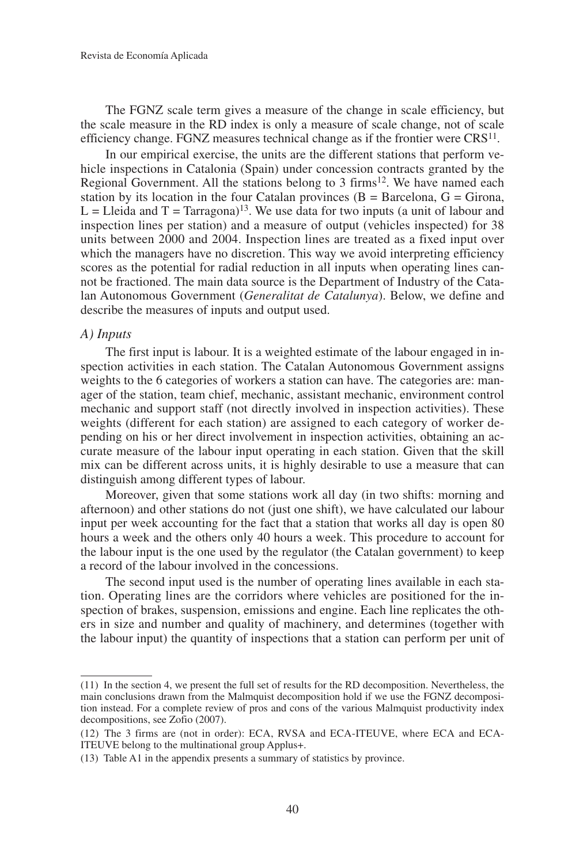The FGNZ scale term gives a measure of the change in scale efficiency, but the scale measure in the RD index is only a measure of scale change, not of scale efficiency change. FGNZ measures technical change as if the frontier were  $CRS<sup>11</sup>$ .

In our empirical exercise, the units are the different stations that perform vehicle inspections in Catalonia (Spain) under concession contracts granted by the Regional Government. All the stations belong to  $3$  firms<sup>12</sup>. We have named each station by its location in the four Catalan provinces  $(B = Barcelona, G = Girona)$ ,  $L = L$ leida and T = Tarragona)<sup>13</sup>. We use data for two inputs (a unit of labour and inspection lines per station) and a measure of output (vehicles inspected) for 38 units between 2000 and 2004. Inspection lines are treated as a fixed input over which the managers have no discretion. This way we avoid interpreting efficiency scores as the potential for radial reduction in all inputs when operating lines cannot be fractioned. The main data source is the Department of Industry of the Catalan Autonomous Government (*Generalitat de Catalunya*). Below, we define and describe the measures of inputs and output used.

### *A) Inputs*

The first input is labour. It is a weighted estimate of the labour engaged in inspection activities in each station. The Catalan Autonomous Government assigns weights to the 6 categories of workers a station can have. The categories are: manager of the station, team chief, mechanic, assistant mechanic, environment control mechanic and support staff (not directly involved in inspection activities). These weights (different for each station) are assigned to each category of worker depending on his or her direct involvement in inspection activities, obtaining an accurate measure of the labour input operating in each station. Given that the skill mix can be different across units, it is highly desirable to use a measure that can distinguish among different types of labour.

Moreover, given that some stations work all day (in two shifts: morning and afternoon) and other stations do not (just one shift), we have calculated our labour input per week accounting for the fact that a station that works all day is open 80 hours a week and the others only 40 hours a week. This procedure to account for the labour input is the one used by the regulator (the Catalan government) to keep a record of the labour involved in the concessions.

The second input used is the number of operating lines available in each station. Operating lines are the corridors where vehicles are positioned for the inspection of brakes, suspension, emissions and engine. Each line replicates the others in size and number and quality of machinery, and determines (together with the labour input) the quantity of inspections that a station can perform per unit of

<sup>(11)</sup> In the section 4, we present the full set of results for the RD decomposition. Nevertheless, the main conclusions drawn from the Malmquist decomposition hold if we use the FGNZ decomposition instead. For a complete review of pros and cons of the various Malmquist productivity index decompositions, see Zofio (2007).

<sup>(12)</sup> The 3 firms are (not in order): ECA, RVSA and ECA-ITEUVE, where ECA and ECA-ITEUVE belong to the multinational group Applus+.

<sup>(13)</sup> Table A1 in the appendix presents a summary of statistics by province.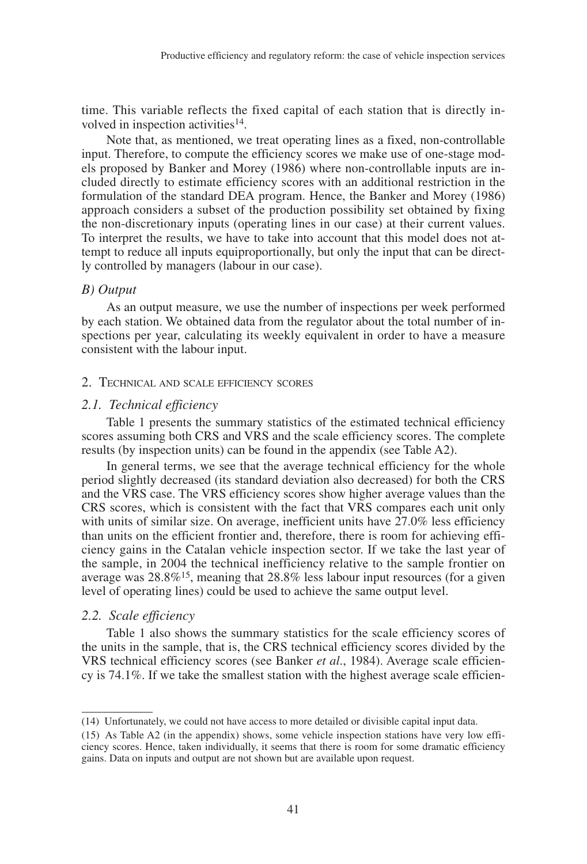time. This variable reflects the fixed capital of each station that is directly involved in inspection activities<sup>14</sup>.

Note that, as mentioned, we treat operating lines as a fixed, non-controllable input. Therefore, to compute the efficiency scores we make use of one-stage models proposed by Banker and Morey (1986) where non-controllable inputs are included directly to estimate efficiency scores with an additional restriction in the formulation of the standard DEA program. Hence, the Banker and Morey (1986) approach considers a subset of the production possibility set obtained by fixing the non-discretionary inputs (operating lines in our case) at their current values. To interpret the results, we have to take into account that this model does not attempt to reduce all inputs equiproportionally, but only the input that can be directly controlled by managers (labour in our case).

#### *B) Output*

As an output measure, we use the number of inspections per week performed by each station. We obtained data from the regulator about the total number of inspections per year, calculating its weekly equivalent in order to have a measure consistent with the labour input.

#### 2. TECHNICAL AND SCALE EFFICIENCY SCORES

#### *2.1. Technical efficiency*

Table 1 presents the summary statistics of the estimated technical efficiency scores assuming both CRS and VRS and the scale efficiency scores. The complete results (by inspection units) can be found in the appendix (see Table A2).

In general terms, we see that the average technical efficiency for the whole period slightly decreased (its standard deviation also decreased) for both the CRS and the VRS case. The VRS efficiency scores show higher average values than the CRS scores, which is consistent with the fact that VRS compares each unit only with units of similar size. On average, inefficient units have 27.0% less efficiency than units on the efficient frontier and, therefore, there is room for achieving efficiency gains in the Catalan vehicle inspection sector. If we take the last year of the sample, in 2004 the technical inefficiency relative to the sample frontier on average was  $28.8\%$ <sup>15</sup>, meaning that  $28.8\%$  less labour input resources (for a given level of operating lines) could be used to achieve the same output level.

### *2.2. Scale efficiency*

Table 1 also shows the summary statistics for the scale efficiency scores of the units in the sample, that is, the CRS technical efficiency scores divided by the VRS technical efficiency scores (see Banker *et al*., 1984). Average scale efficiency is 74.1%. If we take the smallest station with the highest average scale efficien-

<sup>(14)</sup> Unfortunately, we could not have access to more detailed or divisible capital input data.

<sup>(15)</sup> As Table A2 (in the appendix) shows, some vehicle inspection stations have very low efficiency scores. Hence, taken individually, it seems that there is room for some dramatic efficiency gains. Data on inputs and output are not shown but are available upon request.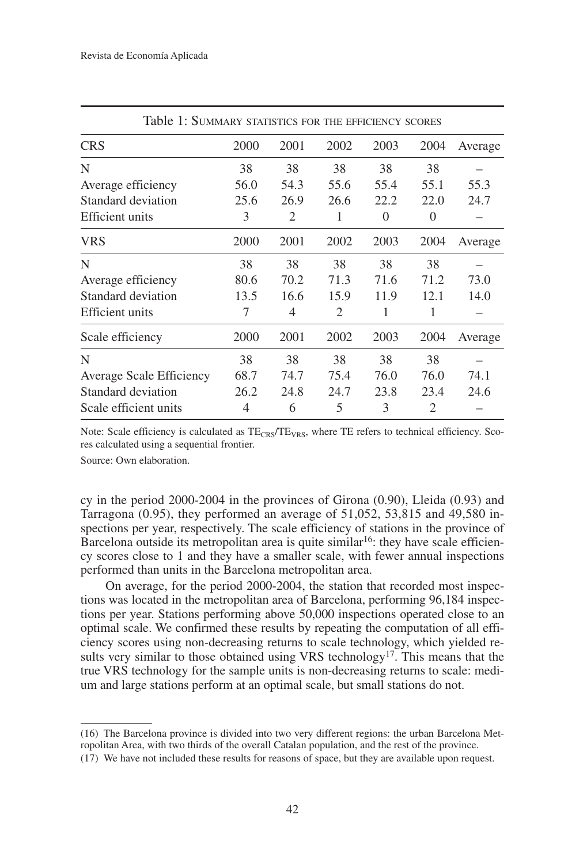| Table 1: SUMMARY STATISTICS FOR THE EFFICIENCY SCORES |      |                |                |          |          |         |
|-------------------------------------------------------|------|----------------|----------------|----------|----------|---------|
| <b>CRS</b>                                            | 2000 | 2001           | 2002           | 2003     | 2004     | Average |
| N                                                     | 38   | 38             | 38             | 38       | 38       |         |
| Average efficiency                                    | 56.0 | 54.3           | 55.6           | 55.4     | 55.1     | 55.3    |
| Standard deviation                                    | 25.6 | 26.9           | 26.6           | 22.2     | 22.0     | 24.7    |
| Efficient units                                       | 3    | $\overline{c}$ | 1              | $\Omega$ | $\Omega$ |         |
| VRS                                                   | 2000 | 2001           | 2002           | 2003     | 2004     | Average |
| N                                                     | 38   | 38             | 38             | 38       | 38       |         |
| Average efficiency                                    | 80.6 | 70.2           | 71.3           | 71.6     | 71.2     | 73.0    |
| Standard deviation                                    | 13.5 | 16.6           | 15.9           | 11.9     | 12.1     | 14.0    |
| <b>Efficient</b> units                                | 7    | 4              | $\overline{c}$ | 1        | 1        |         |
| Scale efficiency                                      | 2000 | 2001           | 2002           | 2003     | 2004     | Average |
| N                                                     | 38   | 38             | 38             | 38       | 38       |         |
| Average Scale Efficiency                              | 68.7 | 74.7           | 75.4           | 76.0     | 76.0     | 74.1    |
| Standard deviation                                    | 26.2 | 24.8           | 24.7           | 23.8     | 23.4     | 24.6    |
| Scale efficient units                                 | 4    | 6              | 5              | 3        | 2        |         |

Note: Scale efficiency is calculated as  $TE_{CRS}/TE_{VRS}$ , where TE refers to technical efficiency. Scores calculated using a sequential frontier.

Source: Own elaboration.

cy in the period  $2000-2004$  in the provinces of Girona  $(0.90)$ , Lleida  $(0.93)$  and Tarragona (0.95), they performed an average of 51,052, 53,815 and 49,580 inspections per year, respectively. The scale efficiency of stations in the province of Barcelona outside its metropolitan area is quite similar<sup>16</sup>: they have scale efficiency scores close to 1 and they have a smaller scale, with fewer annual inspections performed than units in the Barcelona metropolitan area.

On average, for the period 2000-2004, the station that recorded most inspections was located in the metropolitan area of Barcelona, performing 96,184 inspections per year. Stations performing above 50,000 inspections operated close to an optimal scale. We confirmed these results by repeating the computation of all efficiency scores using non-decreasing returns to scale technology, which yielded results very similar to those obtained using VRS technology<sup>17</sup>. This means that the true VRS technology for the sample units is non-decreasing returns to scale: medium and large stations perform at an optimal scale, but small stations do not.

<sup>(16)</sup> The Barcelona province is divided into two very different regions: the urban Barcelona Metropolitan Area, with two thirds of the overall Catalan population, and the rest of the province.

<sup>(17)</sup> We have not included these results for reasons of space, but they are available upon request.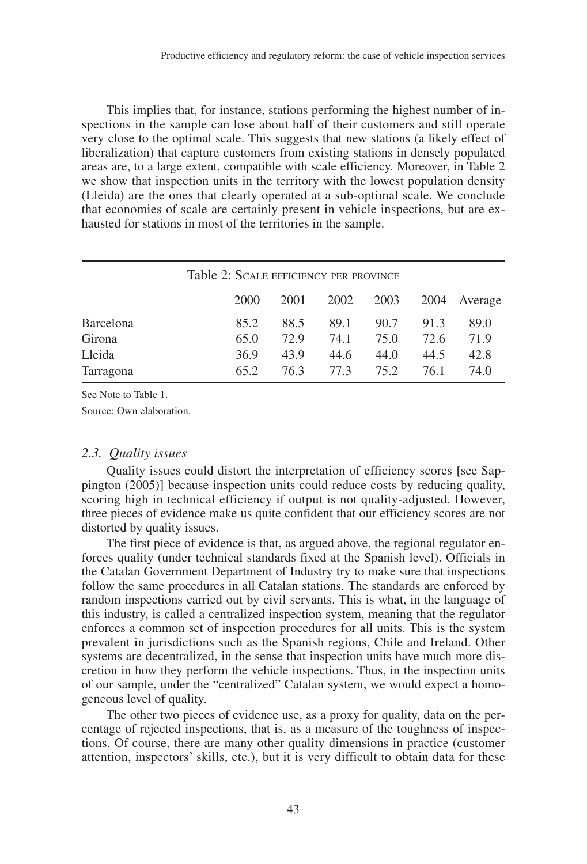This implies that, for instance, stations performing the highest number of inspections in the sample can lose about half of their customers and still operate very close to the optimal scale. This suggests that new stations (a likely effect of liberalization) that capture customers from existing stations in densely populated areas are, to a large extent, compatible with scale efficiency. Moreover, in Table 2 we show that inspection units in the territory with the lowest population density (Lleida) are the ones that clearly operated at a sub-optimal scale. We conclude that economies of scale are certainly present in vehicle inspections, but are exhausted for stations in most of the territories in the sample.

|           | Table 2: SCALE EFFICIENCY PER PROVINCE |      |      |      |      |         |
|-----------|----------------------------------------|------|------|------|------|---------|
|           | 2000                                   | 2001 | 2002 | 2003 | 2004 | Average |
| Barcelona | 85.2                                   | 88.5 | 89.1 | 90.7 | 91.3 | 89.0    |
| Girona    | 65.0                                   | 72.9 | 74.1 | 75.0 | 72.6 | 71.9    |
| Lleida    | 36.9                                   | 43.9 | 44.6 | 44.0 | 44.5 | 42.8    |
| Tarragona | 65.2                                   | 76.3 | 77.3 | 75.2 | 76.1 | 74.O    |

See Note to Table 1.

Source: Own elaboration.

# *2.3. Quality issues*

Quality issues could distort the interpretation of efficiency scores [see Sappington (2005)] because inspection units could reduce costs by reducing quality, scoring high in technical efficiency if output is not quality-adjusted. However, three pieces of evidence make us quite confident that our efficiency scores are not distorted by quality issues.

The first piece of evidence is that, as argued above, the regional regulator enforces quality (under technical standards fixed at the Spanish level). Officials in the Catalan Government Department of Industry try to make sure that inspections follow the same procedures in all Catalan stations. The standards are enforced by random inspections carried out by civil servants. This is what, in the language of this industry, is called a centralized inspection system, meaning that the regulator enforces a common set of inspection procedures for all units. This is the system prevalent in jurisdictions such as the Spanish regions, Chile and Ireland. Other systems are decentralized, in the sense that inspection units have much more discretion in how they perform the vehicle inspections. Thus, in the inspection units of our sample, under the "centralized" Catalan system, we would expect a homogeneous level of quality.

The other two pieces of evidence use, as a proxy for quality, data on the percentage of rejected inspections, that is, as a measure of the toughness of inspections. Of course, there are many other quality dimensions in practice (customer attention, inspectors' skills, etc.), but it is very difficult to obtain data for these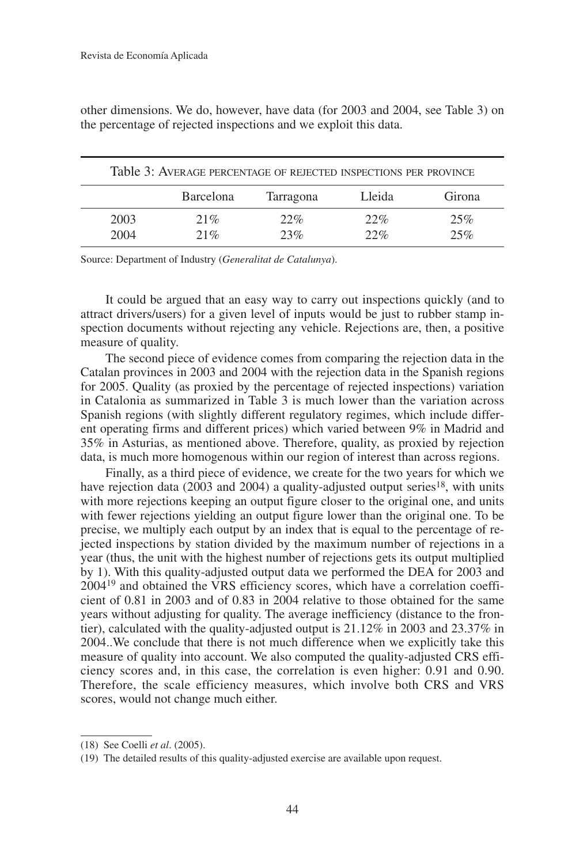other dimensions. We do, however, have data (for 2003 and 2004, see Table 3) on the percentage of rejected inspections and we exploit this data.

|      | Table 3: AVERAGE PERCENTAGE OF REJECTED INSPECTIONS PER PROVINCE |           |        |        |
|------|------------------------------------------------------------------|-----------|--------|--------|
|      | <b>Barcelona</b>                                                 | Tarragona | Lleida | Girona |
| 2003 | 21%                                                              | 22%       | 22%    | 25%    |
| 2004 | 21%                                                              | 23%       | 22%    | 25%    |

Source: Department of Industry (*Generalitat de Catalunya*).

It could be argued that an easy way to carry out inspections quickly (and to attract drivers/users) for a given level of inputs would be just to rubber stamp inspection documents without rejecting any vehicle. Rejections are, then, a positive measure of quality.

The second piece of evidence comes from comparing the rejection data in the Catalan provinces in 2003 and 2004 with the rejection data in the Spanish regions for 2005. Quality (as proxied by the percentage of rejected inspections) variation in Catalonia as summarized in Table 3 is much lower than the variation across Spanish regions (with slightly different regulatory regimes, which include different operating firms and different prices) which varied between 9% in Madrid and 35% in Asturias, as mentioned above. Therefore, quality, as proxied by rejection data, is much more homogenous within our region of interest than across regions.

Finally, as a third piece of evidence, we create for the two years for which we have rejection data (2003 and 2004) a quality-adjusted output series<sup>18</sup>, with units with more rejections keeping an output figure closer to the original one, and units with fewer rejections yielding an output figure lower than the original one. To be precise, we multiply each output by an index that is equal to the percentage of rejected inspections by station divided by the maximum number of rejections in a year (thus, the unit with the highest number of rejections gets its output multiplied by 1). With this quality-adjusted output data we performed the DEA for 2003 and 200419 and obtained the VRS efficiency scores, which have a correlation coefficient of 0.81 in 2003 and of 0.83 in 2004 relative to those obtained for the same years without adjusting for quality. The average inefficiency (distance to the frontier), calculated with the quality-adjusted output is 21.12% in 2003 and 23.37% in 2004..We conclude that there is not much difference when we explicitly take this measure of quality into account. We also computed the quality-adjusted CRS efficiency scores and, in this case, the correlation is even higher: 0.91 and 0.90. Therefore, the scale efficiency measures, which involve both CRS and VRS scores, would not change much either.

<sup>(18)</sup> See Coelli *et al*. (2005).

<sup>(19)</sup> The detailed results of this quality-adjusted exercise are available upon request.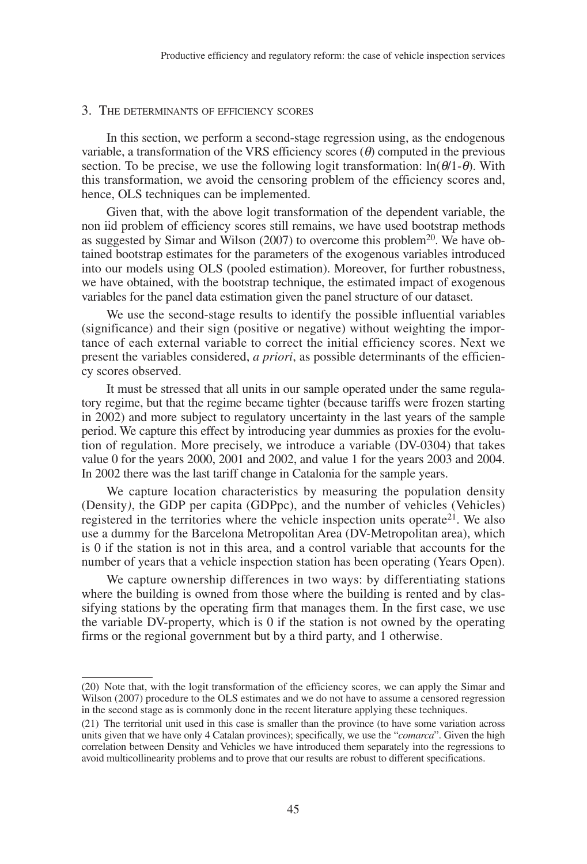# 3. THE DETERMINANTS OF EFFICIENCY SCORES

In this section, we perform a second-stage regression using, as the endogenous variable, a transformation of the VRS efficiency scores  $(\theta)$  computed in the previous section. To be precise, we use the following logit transformation:  $ln(\theta/1-\theta)$ . With this transformation, we avoid the censoring problem of the efficiency scores and, hence, OLS techniques can be implemented.

Given that, with the above logit transformation of the dependent variable, the non iid problem of efficiency scores still remains, we have used bootstrap methods as suggested by Simar and Wilson  $(2007)$  to overcome this problem<sup>20</sup>. We have obtained bootstrap estimates for the parameters of the exogenous variables introduced into our models using OLS (pooled estimation). Moreover, for further robustness, we have obtained, with the bootstrap technique, the estimated impact of exogenous variables for the panel data estimation given the panel structure of our dataset.

We use the second-stage results to identify the possible influential variables (significance) and their sign (positive or negative) without weighting the importance of each external variable to correct the initial efficiency scores. Next we present the variables considered, *a priori*, as possible determinants of the efficiency scores observed.

It must be stressed that all units in our sample operated under the same regulatory regime, but that the regime became tighter (because tariffs were frozen starting in 2002) and more subject to regulatory uncertainty in the last years of the sample period. We capture this effect by introducing year dummies as proxies for the evolution of regulation. More precisely, we introduce a variable (DV-0304) that takes value 0 for the years 2000, 2001 and 2002, and value 1 for the years 2003 and 2004. In 2002 there was the last tariff change in Catalonia for the sample years.

We capture location characteristics by measuring the population density (Density*)*, the GDP per capita (GDPpc), and the number of vehicles (Vehicles) registered in the territories where the vehicle inspection units operate<sup>21</sup>. We also use a dummy for the Barcelona Metropolitan Area (DV-Metropolitan area), which is 0 if the station is not in this area, and a control variable that accounts for the number of years that a vehicle inspection station has been operating (Years Open).

We capture ownership differences in two ways: by differentiating stations where the building is owned from those where the building is rented and by classifying stations by the operating firm that manages them. In the first case, we use the variable DV-property, which is 0 if the station is not owned by the operating firms or the regional government but by a third party, and 1 otherwise.

<sup>(20)</sup> Note that, with the logit transformation of the efficiency scores, we can apply the Simar and Wilson (2007) procedure to the OLS estimates and we do not have to assume a censored regression in the second stage as is commonly done in the recent literature applying these techniques.

<sup>(21)</sup> The territorial unit used in this case is smaller than the province (to have some variation across units given that we have only 4 Catalan provinces); specifically, we use the "*comarca*". Given the high correlation between Density and Vehicles we have introduced them separately into the regressions to avoid multicollinearity problems and to prove that our results are robust to different specifications.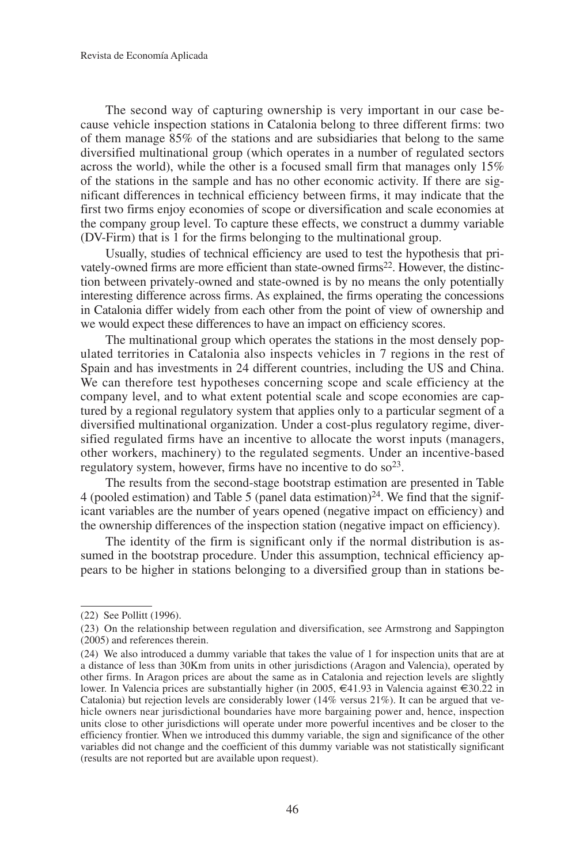The second way of capturing ownership is very important in our case because vehicle inspection stations in Catalonia belong to three different firms: two of them manage 85% of the stations and are subsidiaries that belong to the same diversified multinational group (which operates in a number of regulated sectors across the world), while the other is a focused small firm that manages only 15% of the stations in the sample and has no other economic activity. If there are significant differences in technical efficiency between firms, it may indicate that the first two firms enjoy economies of scope or diversification and scale economies at the company group level. To capture these effects, we construct a dummy variable (DV-Firm) that is 1 for the firms belonging to the multinational group.

Usually, studies of technical efficiency are used to test the hypothesis that privately-owned firms are more efficient than state-owned firms<sup>22</sup>. However, the distinction between privately-owned and state-owned is by no means the only potentially interesting difference across firms. As explained, the firms operating the concessions in Catalonia differ widely from each other from the point of view of ownership and we would expect these differences to have an impact on efficiency scores.

The multinational group which operates the stations in the most densely populated territories in Catalonia also inspects vehicles in 7 regions in the rest of Spain and has investments in 24 different countries, including the US and China. We can therefore test hypotheses concerning scope and scale efficiency at the company level, and to what extent potential scale and scope economies are captured by a regional regulatory system that applies only to a particular segment of a diversified multinational organization. Under a cost-plus regulatory regime, diversified regulated firms have an incentive to allocate the worst inputs (managers, other workers, machinery) to the regulated segments. Under an incentive-based regulatory system, however, firms have no incentive to do  $\delta^{23}$ .

The results from the second-stage bootstrap estimation are presented in Table 4 (pooled estimation) and Table 5 (panel data estimation)<sup>24</sup>. We find that the significant variables are the number of years opened (negative impact on efficiency) and the ownership differences of the inspection station (negative impact on efficiency).

The identity of the firm is significant only if the normal distribution is assumed in the bootstrap procedure. Under this assumption, technical efficiency appears to be higher in stations belonging to a diversified group than in stations be-

<sup>(22)</sup> See Pollitt (1996).

<sup>(23)</sup> On the relationship between regulation and diversification, see Armstrong and Sappington (2005) and references therein.

<sup>(24)</sup> We also introduced a dummy variable that takes the value of 1 for inspection units that are at a distance of less than 30Km from units in other jurisdictions (Aragon and Valencia), operated by other firms. In Aragon prices are about the same as in Catalonia and rejection levels are slightly lower. In Valencia prices are substantially higher (in 2005, €41.93 in Valencia against €30.22 in Catalonia) but rejection levels are considerably lower (14% versus 21%). It can be argued that vehicle owners near jurisdictional boundaries have more bargaining power and, hence, inspection units close to other jurisdictions will operate under more powerful incentives and be closer to the efficiency frontier. When we introduced this dummy variable, the sign and significance of the other variables did not change and the coefficient of this dummy variable was not statistically significant (results are not reported but are available upon request).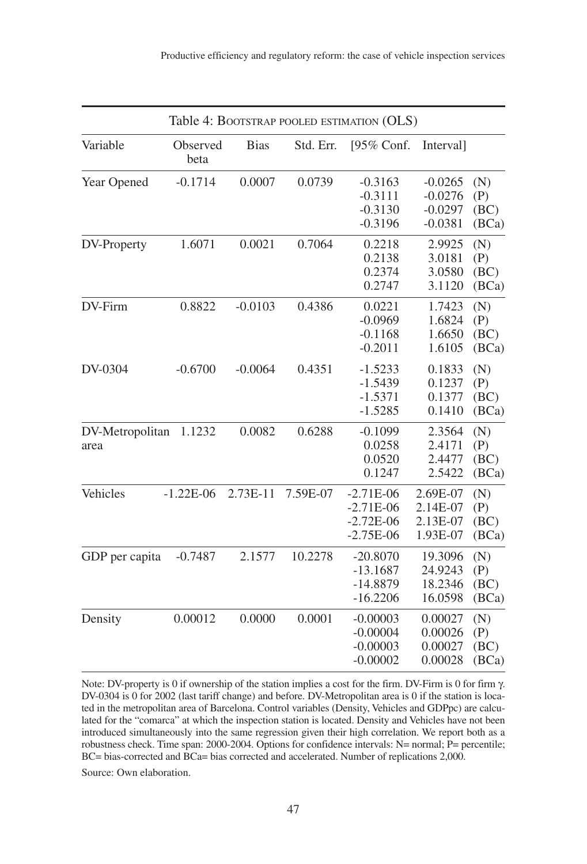|                         |                  |             |           | Table 4: BOOTSTRAP POOLED ESTIMATION (OLS)               |                                                  |                             |
|-------------------------|------------------|-------------|-----------|----------------------------------------------------------|--------------------------------------------------|-----------------------------|
| Variable                | Observed<br>beta | <b>Bias</b> | Std. Err. | [95% Conf.                                               | Interval]                                        |                             |
| Year Opened             | $-0.1714$        | 0.0007      | 0.0739    | $-0.3163$<br>$-0.3111$<br>$-0.3130$<br>$-0.3196$         | $-0.0265$<br>$-0.0276$<br>$-0.0297$<br>$-0.0381$ | (N)<br>(P)<br>(BC)<br>(BCa) |
| DV-Property             | 1.6071           | 0.0021      | 0.7064    | 0.2218<br>0.2138<br>0.2374<br>0.2747                     | 2.9925<br>3.0181<br>3.0580<br>3.1120             | (N)<br>(P)<br>(BC)<br>(BCa) |
| DV-Firm                 | 0.8822           | $-0.0103$   | 0.4386    | 0.0221<br>$-0.0969$<br>$-0.1168$<br>$-0.2011$            | 1.7423<br>1.6824<br>1.6650<br>1.6105             | (N)<br>(P)<br>(BC)<br>(BCa) |
| DV-0304                 | $-0.6700$        | $-0.0064$   | 0.4351    | $-1.5233$<br>$-1.5439$<br>$-1.5371$<br>$-1.5285$         | 0.1833<br>0.1237<br>0.1377<br>0.1410             | (N)<br>(P)<br>(BC)<br>(BCa) |
| DV-Metropolitan<br>area | 1.1232           | 0.0082      | 0.6288    | $-0.1099$<br>0.0258<br>0.0520<br>0.1247                  | 2.3564<br>2.4171<br>2.4477<br>2.5422             | (N)<br>(P)<br>(BC)<br>(BCa) |
| Vehicles                | $-1.22E-06$      | 2.73E-11    | 7.59E-07  | $-2.71E-06$<br>$-2.71E-06$<br>$-2.72E-06$<br>$-2.75E-06$ | 2.69E-07<br>2.14E-07<br>2.13E-07<br>1.93E-07     | (N)<br>(P)<br>(BC)<br>(BCa) |
| GDP per capita          | $-0.7487$        | 2.1577      | 10.2278   | $-20.8070$<br>$-13.1687$<br>$-14.8879$<br>$-16.2206$     | 19.3096<br>24.9243<br>18.2346<br>16.0598         | (N)<br>(P)<br>(BC)<br>(BCa) |
| Density                 | 0.00012          | 0.0000      | 0.0001    | $-0.00003$<br>$-0.00004$<br>$-0.00003$<br>$-0.00002$     | 0.00027<br>0.00026<br>0.00027<br>0.00028         | (N)<br>(P)<br>(BC)<br>(BCa) |

Note: DV-property is 0 if ownership of the station implies a cost for the firm. DV-Firm is 0 for firm γ. DV-0304 is 0 for 2002 (last tariff change) and before. DV-Metropolitan area is 0 if the station is located in the metropolitan area of Barcelona. Control variables (Density, Vehicles and GDPpc) are calculated for the "comarca" at which the inspection station is located. Density and Vehicles have not been introduced simultaneously into the same regression given their high correlation. We report both as a robustness check. Time span: 2000-2004. Options for confidence intervals: N= normal; P= percentile; BC= bias-corrected and BCa= bias corrected and accelerated. Number of replications 2,000.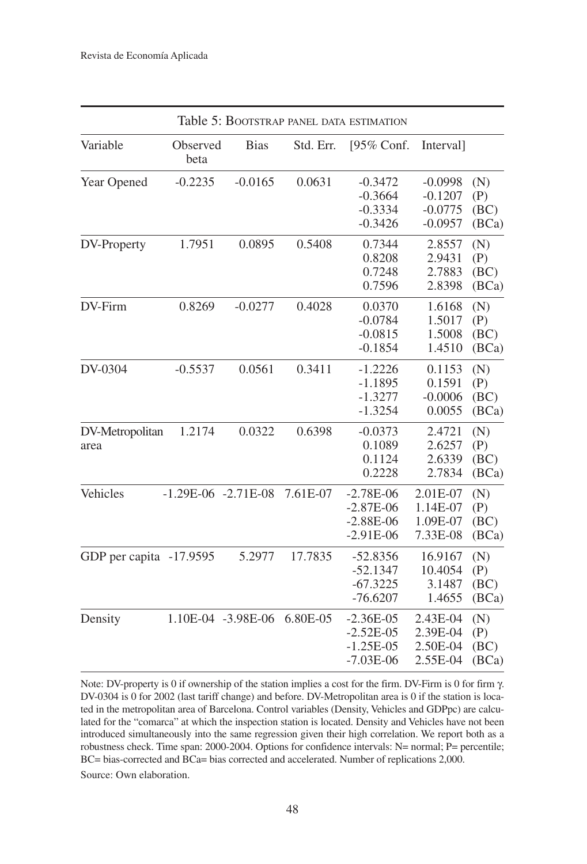|                         |                         |                    |           | Table 5: BOOTSTRAP PANEL DATA ESTIMATION                 |                                                  |                             |
|-------------------------|-------------------------|--------------------|-----------|----------------------------------------------------------|--------------------------------------------------|-----------------------------|
| Variable                | Observed<br>beta        | <b>Bias</b>        | Std. Err. | [95% Conf.                                               | Interval]                                        |                             |
| Year Opened             | $-0.2235$               | $-0.0165$          | 0.0631    | $-0.3472$<br>$-0.3664$<br>$-0.3334$<br>$-0.3426$         | $-0.0998$<br>$-0.1207$<br>$-0.0775$<br>$-0.0957$ | (N)<br>(P)<br>(BC)<br>(BCa) |
| DV-Property             | 1.7951                  | 0.0895             | 0.5408    | 0.7344<br>0.8208<br>0.7248<br>0.7596                     | 2.8557<br>2.9431<br>2.7883<br>2.8398             | (N)<br>(P)<br>(BC)<br>(BCa) |
| DV-Firm                 | 0.8269                  | $-0.0277$          | 0.4028    | 0.0370<br>$-0.0784$<br>$-0.0815$<br>$-0.1854$            | 1.6168<br>1.5017<br>1.5008<br>1.4510             | (N)<br>(P)<br>(BC)<br>(BCa) |
| DV-0304                 | $-0.5537$               | 0.0561             | 0.3411    | $-1.2226$<br>$-1.1895$<br>$-1.3277$<br>$-1.3254$         | 0.1153<br>0.1591<br>$-0.0006$<br>0.0055          | (N)<br>(P)<br>(BC)<br>(BCa) |
| DV-Metropolitan<br>area | 1.2174                  | 0.0322             | 0.6398    | $-0.0373$<br>0.1089<br>0.1124<br>0.2228                  | 2.4721<br>2.6257<br>2.6339<br>2.7834             | (N)<br>(P)<br>(BC)<br>(BCa) |
| Vehicles                | $-1.29E-06$ $-2.71E-08$ |                    | 7.61E-07  | $-2.78E-06$<br>$-2.87E-06$<br>$-2.88E-06$<br>$-2.91E-06$ | 2.01E-07<br>1.14E-07<br>1.09E-07<br>7.33E-08     | (N)<br>(P)<br>(BC)<br>(BCa) |
| GDP per capita -17.9595 |                         | 5.2977             | 17.7835   | $-52.8356$<br>$-52.1347$<br>$-67.3225$<br>$-76.6207$     | 16.9167<br>10.4054<br>3.1487<br>1.4655           | (N)<br>(P)<br>(BC)<br>(BCa) |
| Density                 |                         | 1.10E-04 -3.98E-06 | 6.80E-05  | $-2.36E-05$<br>$-2.52E-05$<br>$-1.25E-05$<br>$-7.03E-06$ | 2.43E-04<br>2.39E-04<br>2.50E-04<br>2.55E-04     | (N)<br>(P)<br>(BC)<br>(BCa) |

Note: DV-property is 0 if ownership of the station implies a cost for the firm. DV-Firm is 0 for firm γ. DV-0304 is 0 for 2002 (last tariff change) and before. DV-Metropolitan area is 0 if the station is located in the metropolitan area of Barcelona. Control variables (Density, Vehicles and GDPpc) are calculated for the "comarca" at which the inspection station is located. Density and Vehicles have not been introduced simultaneously into the same regression given their high correlation. We report both as a robustness check. Time span: 2000-2004. Options for confidence intervals: N= normal; P= percentile; BC= bias-corrected and BCa= bias corrected and accelerated. Number of replications 2,000. Source: Own elaboration.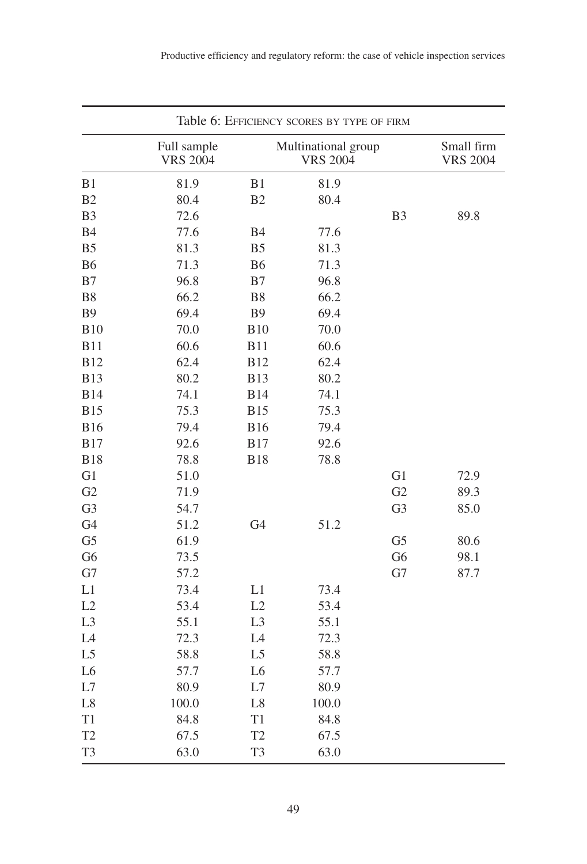|                |                                |                | Table 6: EFFICIENCY SCORES BY TYPE OF FIRM |                |                               |
|----------------|--------------------------------|----------------|--------------------------------------------|----------------|-------------------------------|
|                | Full sample<br><b>VRS 2004</b> |                | Multinational group<br><b>VRS 2004</b>     |                | Small firm<br><b>VRS 2004</b> |
| B1             | 81.9                           | B1             | 81.9                                       |                |                               |
| B2             | 80.4                           | B2             | 80.4                                       |                |                               |
| B <sub>3</sub> | 72.6                           |                |                                            | B <sub>3</sub> | 89.8                          |
| <b>B4</b>      | 77.6                           | <b>B4</b>      | 77.6                                       |                |                               |
| B <sub>5</sub> | 81.3                           | B <sub>5</sub> | 81.3                                       |                |                               |
| <b>B6</b>      | 71.3                           | <b>B6</b>      | 71.3                                       |                |                               |
| B7             | 96.8                           | B7             | 96.8                                       |                |                               |
| <b>B8</b>      | 66.2                           | B8             | 66.2                                       |                |                               |
| <b>B9</b>      | 69.4                           | <b>B9</b>      | 69.4                                       |                |                               |
| <b>B10</b>     | 70.0                           | <b>B10</b>     | 70.0                                       |                |                               |
| <b>B11</b>     | 60.6                           | <b>B11</b>     | 60.6                                       |                |                               |
| <b>B12</b>     | 62.4                           | <b>B12</b>     | 62.4                                       |                |                               |
| <b>B13</b>     | 80.2                           | <b>B13</b>     | 80.2                                       |                |                               |
| <b>B14</b>     | 74.1                           | <b>B14</b>     | 74.1                                       |                |                               |
| <b>B15</b>     | 75.3                           | <b>B15</b>     | 75.3                                       |                |                               |
| <b>B16</b>     | 79.4                           | <b>B16</b>     | 79.4                                       |                |                               |
| <b>B17</b>     | 92.6                           | <b>B17</b>     | 92.6                                       |                |                               |
| <b>B18</b>     | 78.8                           | <b>B18</b>     | 78.8                                       |                |                               |
| G1             | 51.0                           |                |                                            | G1             | 72.9                          |
| G2             | 71.9                           |                |                                            | G2             | 89.3                          |
| G <sub>3</sub> | 54.7                           |                |                                            | G <sub>3</sub> | 85.0                          |
| G <sub>4</sub> | 51.2                           | G <sub>4</sub> | 51.2                                       |                |                               |
| G <sub>5</sub> | 61.9                           |                |                                            | G <sub>5</sub> | 80.6                          |
| G <sub>6</sub> | 73.5                           |                |                                            | G <sub>6</sub> | 98.1                          |
| G7             | 57.2                           |                |                                            | G7             | 87.7                          |
| L1             | 73.4                           | L1             | 73.4                                       |                |                               |
| L2             | 53.4                           | L2             | 53.4                                       |                |                               |
| L <sub>3</sub> | 55.1                           | L <sub>3</sub> | 55.1                                       |                |                               |
| L4             | 72.3                           | L <sub>4</sub> | 72.3                                       |                |                               |
| L <sub>5</sub> | 58.8                           | L <sub>5</sub> | 58.8                                       |                |                               |
| L <sub>6</sub> | 57.7                           | L <sub>6</sub> | 57.7                                       |                |                               |
| L7             | 80.9                           | L7             | 80.9                                       |                |                               |
| L8             | 100.0                          | $\mathrm{L}8$  | 100.0                                      |                |                               |
| T1             | 84.8                           | T1             | 84.8                                       |                |                               |
| T <sub>2</sub> | 67.5                           | T <sub>2</sub> | 67.5                                       |                |                               |
| T <sub>3</sub> | 63.0                           | T <sub>3</sub> | 63.0                                       |                |                               |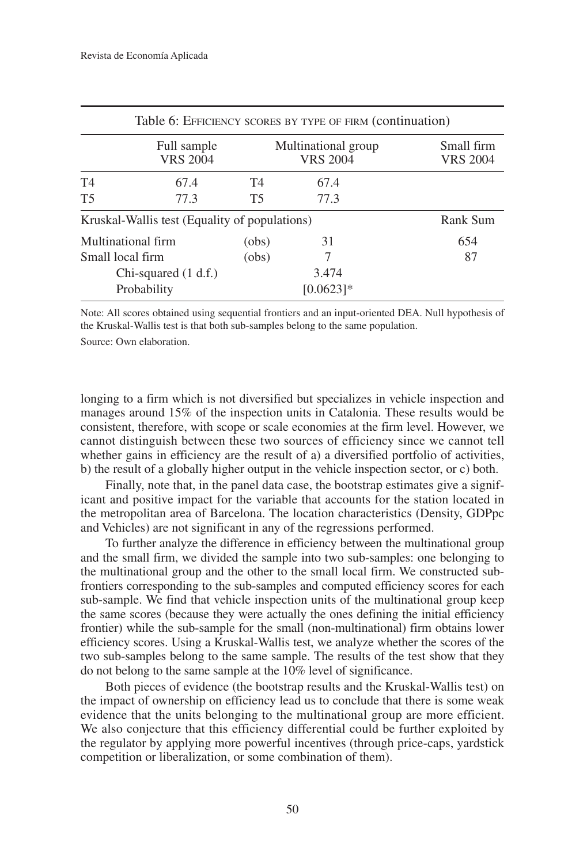|                  |                                               |           | Table 6: EFFICIENCY SCORES BY TYPE OF FIRM (continuation) |                               |
|------------------|-----------------------------------------------|-----------|-----------------------------------------------------------|-------------------------------|
|                  | Full sample<br><b>VRS 2004</b>                |           | Multinational group<br><b>VRS 2004</b>                    | Small firm<br><b>VRS 2004</b> |
| T <sub>4</sub>   | 67.4                                          | T4        | 67.4                                                      |                               |
| T <sub>5</sub>   | 77.3                                          | <b>T5</b> | 77.3                                                      |                               |
|                  | Kruskal-Wallis test (Equality of populations) |           |                                                           | Rank Sum                      |
|                  | Multinational firm                            | (obs)     | 31                                                        | 654                           |
| Small local firm |                                               | (obs)     | 7                                                         | 87                            |
|                  | Chi-squared $(1 d.f.)$                        |           | 3.474                                                     |                               |
|                  | Probability                                   |           | $[0.0623]$ *                                              |                               |

Note: All scores obtained using sequential frontiers and an input-oriented DEA. Null hypothesis of the Kruskal-Wallis test is that both sub-samples belong to the same population.

Source: Own elaboration.

longing to a firm which is not diversified but specializes in vehicle inspection and manages around 15% of the inspection units in Catalonia. These results would be consistent, therefore, with scope or scale economies at the firm level. However, we cannot distinguish between these two sources of efficiency since we cannot tell whether gains in efficiency are the result of a) a diversified portfolio of activities, b) the result of a globally higher output in the vehicle inspection sector, or c) both.

Finally, note that, in the panel data case, the bootstrap estimates give a significant and positive impact for the variable that accounts for the station located in the metropolitan area of Barcelona. The location characteristics (Density, GDPpc and Vehicles) are not significant in any of the regressions performed.

To further analyze the difference in efficiency between the multinational group and the small firm, we divided the sample into two sub-samples: one belonging to the multinational group and the other to the small local firm. We constructed subfrontiers corresponding to the sub-samples and computed efficiency scores for each sub-sample. We find that vehicle inspection units of the multinational group keep the same scores (because they were actually the ones defining the initial efficiency frontier) while the sub-sample for the small (non-multinational) firm obtains lower efficiency scores. Using a Kruskal-Wallis test, we analyze whether the scores of the two sub-samples belong to the same sample. The results of the test show that they do not belong to the same sample at the 10% level of significance.

Both pieces of evidence (the bootstrap results and the Kruskal-Wallis test) on the impact of ownership on efficiency lead us to conclude that there is some weak evidence that the units belonging to the multinational group are more efficient. We also conjecture that this efficiency differential could be further exploited by the regulator by applying more powerful incentives (through price-caps, yardstick competition or liberalization, or some combination of them).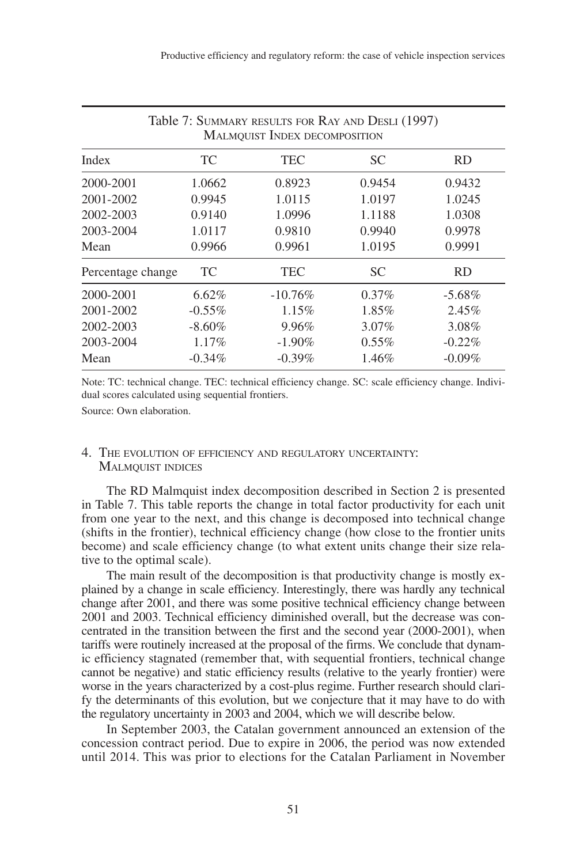|                   |           | Table 7: SUMMARY RESULTS FOR RAY AND DESLI (1997)<br><b>MALMQUIST INDEX DECOMPOSITION</b> |           |           |
|-------------------|-----------|-------------------------------------------------------------------------------------------|-----------|-----------|
| Index             | TC        | TEC                                                                                       | <b>SC</b> | <b>RD</b> |
| 2000-2001         | 1.0662    | 0.8923                                                                                    | 0.9454    | 0.9432    |
| 2001-2002         | 0.9945    | 1.0115                                                                                    | 1.0197    | 1.0245    |
| 2002-2003         | 0.9140    | 1.0996                                                                                    | 1.1188    | 1.0308    |
| 2003-2004         | 1.0117    | 0.9810                                                                                    | 0.9940    | 0.9978    |
| Mean              | 0.9966    | 0.9961                                                                                    | 1.0195    | 0.9991    |
| Percentage change | TC        | <b>TEC</b>                                                                                | <b>SC</b> | <b>RD</b> |
| 2000-2001         | 6.62%     | $-10.76\%$                                                                                | $0.37\%$  | $-5.68\%$ |
| 2001-2002         | $-0.55\%$ | $1.15\%$                                                                                  | 1.85%     | 2.45%     |
| 2002-2003         | $-8.60\%$ | $9.96\%$                                                                                  | $3.07\%$  | 3.08%     |
| 2003-2004         | $1.17\%$  | $-1.90\%$                                                                                 | $0.55\%$  | $-0.22%$  |
| Mean              | $-0.34\%$ | $-0.39\%$                                                                                 | 1.46%     | $-0.09\%$ |

Note: TC: technical change. TEC: technical efficiency change. SC: scale efficiency change. Individual scores calculated using sequential frontiers.

Source: Own elaboration.

## 4. THE EVOLUTION OF EFFICIENCY AND REGULATORY UNCERTAINTY: MALMQUIST INDICES

The RD Malmquist index decomposition described in Section 2 is presented in Table 7. This table reports the change in total factor productivity for each unit from one year to the next, and this change is decomposed into technical change (shifts in the frontier), technical efficiency change (how close to the frontier units become) and scale efficiency change (to what extent units change their size relative to the optimal scale).

The main result of the decomposition is that productivity change is mostly explained by a change in scale efficiency. Interestingly, there was hardly any technical change after 2001, and there was some positive technical efficiency change between 2001 and 2003. Technical efficiency diminished overall, but the decrease was concentrated in the transition between the first and the second year (2000-2001), when tariffs were routinely increased at the proposal of the firms. We conclude that dynamic efficiency stagnated (remember that, with sequential frontiers, technical change cannot be negative) and static efficiency results (relative to the yearly frontier) were worse in the years characterized by a cost-plus regime. Further research should clarify the determinants of this evolution, but we conjecture that it may have to do with the regulatory uncertainty in 2003 and 2004, which we will describe below.

In September 2003, the Catalan government announced an extension of the concession contract period. Due to expire in 2006, the period was now extended until 2014. This was prior to elections for the Catalan Parliament in November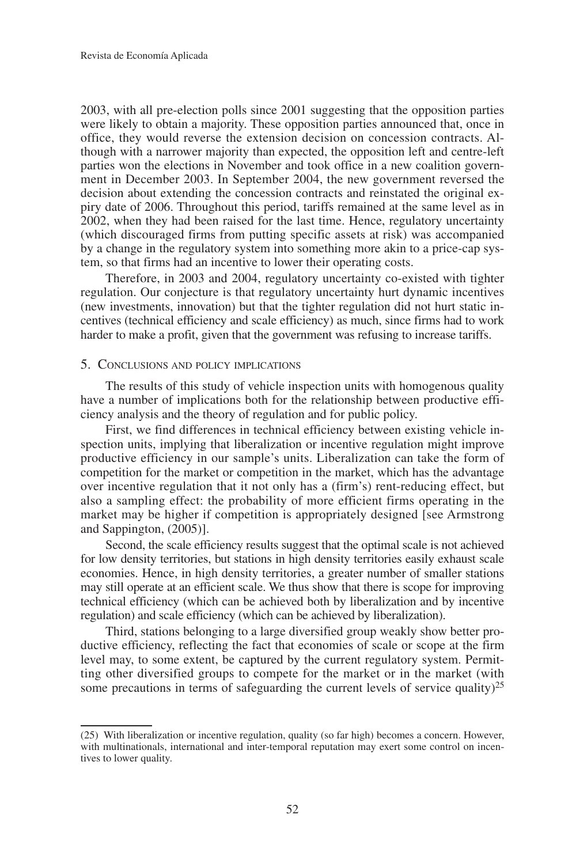2003, with all pre-election polls since 2001 suggesting that the opposition parties were likely to obtain a majority. These opposition parties announced that, once in office, they would reverse the extension decision on concession contracts. Although with a narrower majority than expected, the opposition left and centre-left parties won the elections in November and took office in a new coalition government in December 2003. In September 2004, the new government reversed the decision about extending the concession contracts and reinstated the original expiry date of 2006. Throughout this period, tariffs remained at the same level as in 2002, when they had been raised for the last time. Hence, regulatory uncertainty (which discouraged firms from putting specific assets at risk) was accompanied by a change in the regulatory system into something more akin to a price-cap system, so that firms had an incentive to lower their operating costs.

Therefore, in 2003 and 2004, regulatory uncertainty co-existed with tighter regulation. Our conjecture is that regulatory uncertainty hurt dynamic incentives (new investments, innovation) but that the tighter regulation did not hurt static incentives (technical efficiency and scale efficiency) as much, since firms had to work harder to make a profit, given that the government was refusing to increase tariffs.

# 5. CONCLUSIONS AND POLICY IMPLICATIONS

The results of this study of vehicle inspection units with homogenous quality have a number of implications both for the relationship between productive efficiency analysis and the theory of regulation and for public policy.

First, we find differences in technical efficiency between existing vehicle inspection units, implying that liberalization or incentive regulation might improve productive efficiency in our sample's units. Liberalization can take the form of competition for the market or competition in the market, which has the advantage over incentive regulation that it not only has a (firm's) rent-reducing effect, but also a sampling effect: the probability of more efficient firms operating in the market may be higher if competition is appropriately designed [see Armstrong and Sappington, (2005)].

Second, the scale efficiency results suggest that the optimal scale is not achieved for low density territories, but stations in high density territories easily exhaust scale economies. Hence, in high density territories, a greater number of smaller stations may still operate at an efficient scale. We thus show that there is scope for improving technical efficiency (which can be achieved both by liberalization and by incentive regulation) and scale efficiency (which can be achieved by liberalization).

Third, stations belonging to a large diversified group weakly show better productive efficiency, reflecting the fact that economies of scale or scope at the firm level may, to some extent, be captured by the current regulatory system. Permitting other diversified groups to compete for the market or in the market (with some precautions in terms of safeguarding the current levels of service quality)<sup>25</sup>

<sup>(25)</sup> With liberalization or incentive regulation, quality (so far high) becomes a concern. However, with multinationals, international and inter-temporal reputation may exert some control on incentives to lower quality.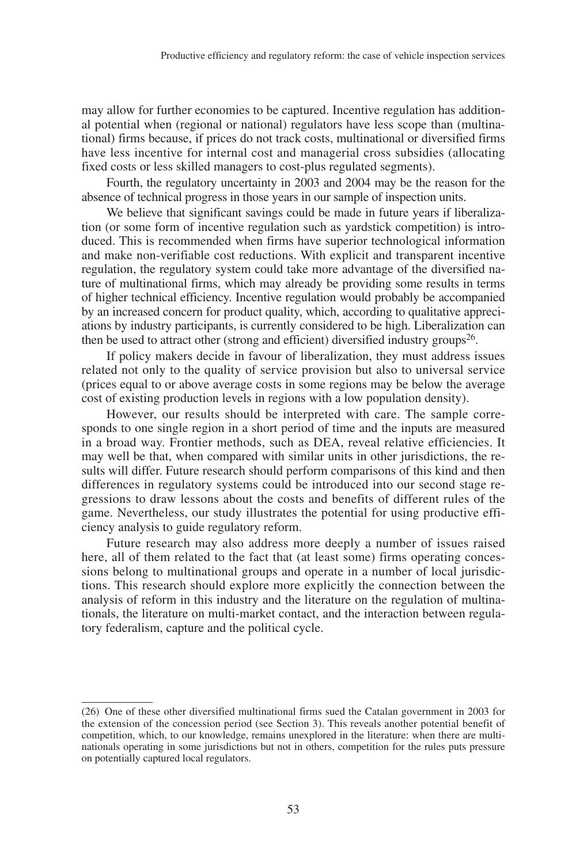may allow for further economies to be captured. Incentive regulation has additional potential when (regional or national) regulators have less scope than (multinational) firms because, if prices do not track costs, multinational or diversified firms have less incentive for internal cost and managerial cross subsidies (allocating fixed costs or less skilled managers to cost-plus regulated segments).

Fourth, the regulatory uncertainty in 2003 and 2004 may be the reason for the absence of technical progress in those years in our sample of inspection units.

We believe that significant savings could be made in future years if liberalization (or some form of incentive regulation such as yardstick competition) is introduced. This is recommended when firms have superior technological information and make non-verifiable cost reductions. With explicit and transparent incentive regulation, the regulatory system could take more advantage of the diversified nature of multinational firms, which may already be providing some results in terms of higher technical efficiency. Incentive regulation would probably be accompanied by an increased concern for product quality, which, according to qualitative appreciations by industry participants, is currently considered to be high. Liberalization can then be used to attract other (strong and efficient) diversified industry groups<sup>26</sup>.

If policy makers decide in favour of liberalization, they must address issues related not only to the quality of service provision but also to universal service (prices equal to or above average costs in some regions may be below the average cost of existing production levels in regions with a low population density).

However, our results should be interpreted with care. The sample corresponds to one single region in a short period of time and the inputs are measured in a broad way. Frontier methods, such as DEA, reveal relative efficiencies. It may well be that, when compared with similar units in other jurisdictions, the results will differ. Future research should perform comparisons of this kind and then differences in regulatory systems could be introduced into our second stage regressions to draw lessons about the costs and benefits of different rules of the game. Nevertheless, our study illustrates the potential for using productive efficiency analysis to guide regulatory reform.

Future research may also address more deeply a number of issues raised here, all of them related to the fact that (at least some) firms operating concessions belong to multinational groups and operate in a number of local jurisdictions. This research should explore more explicitly the connection between the analysis of reform in this industry and the literature on the regulation of multinationals, the literature on multi-market contact, and the interaction between regulatory federalism, capture and the political cycle.

<sup>(26)</sup> One of these other diversified multinational firms sued the Catalan government in 2003 for the extension of the concession period (see Section 3). This reveals another potential benefit of competition, which, to our knowledge, remains unexplored in the literature: when there are multinationals operating in some jurisdictions but not in others, competition for the rules puts pressure on potentially captured local regulators.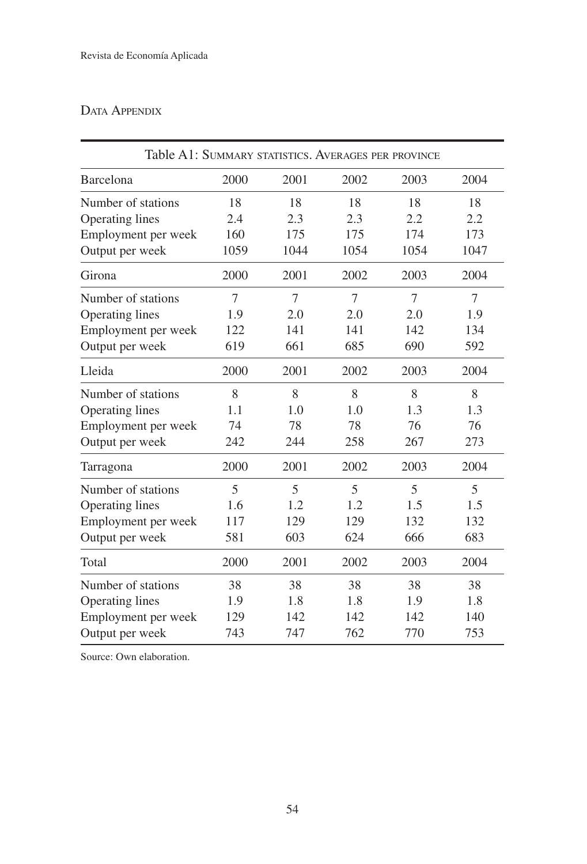# DATA APPENDIX

| Table A1: SUMMARY STATISTICS. AVERAGES PER PROVINCE |      |      |      |      |      |
|-----------------------------------------------------|------|------|------|------|------|
| Barcelona                                           | 2000 | 2001 | 2002 | 2003 | 2004 |
| Number of stations                                  | 18   | 18   | 18   | 18   | 18   |
| <b>Operating lines</b>                              | 2.4  | 2.3  | 2.3  | 2.2  | 2.2  |
| Employment per week                                 | 160  | 175  | 175  | 174  | 173  |
| Output per week                                     | 1059 | 1044 | 1054 | 1054 | 1047 |
| Girona                                              | 2000 | 2001 | 2002 | 2003 | 2004 |
| Number of stations                                  | 7    | 7    | 7    | 7    | 7    |
| Operating lines                                     | 1.9  | 2.0  | 2.0  | 2.0  | 1.9  |
| Employment per week                                 | 122  | 141  | 141  | 142  | 134  |
| Output per week                                     | 619  | 661  | 685  | 690  | 592  |
| Lleida                                              | 2000 | 2001 | 2002 | 2003 | 2004 |
| Number of stations                                  | 8    | 8    | 8    | 8    | 8    |
| Operating lines                                     | 1.1  | 1.0  | 1.0  | 1.3  | 1.3  |
| Employment per week                                 | 74   | 78   | 78   | 76   | 76   |
| Output per week                                     | 242  | 244  | 258  | 267  | 273  |
| Tarragona                                           | 2000 | 2001 | 2002 | 2003 | 2004 |
| Number of stations                                  | 5    | 5    | 5    | 5    | 5    |
| Operating lines                                     | 1.6  | 1.2  | 1.2  | 1.5  | 1.5  |
| Employment per week                                 | 117  | 129  | 129  | 132  | 132  |
| Output per week                                     | 581  | 603  | 624  | 666  | 683  |
| Total                                               | 2000 | 2001 | 2002 | 2003 | 2004 |
| Number of stations                                  | 38   | 38   | 38   | 38   | 38   |
| Operating lines                                     | 1.9  | 1.8  | 1.8  | 1.9  | 1.8  |
| Employment per week                                 | 129  | 142  | 142  | 142  | 140  |
| Output per week                                     | 743  | 747  | 762  | 770  | 753  |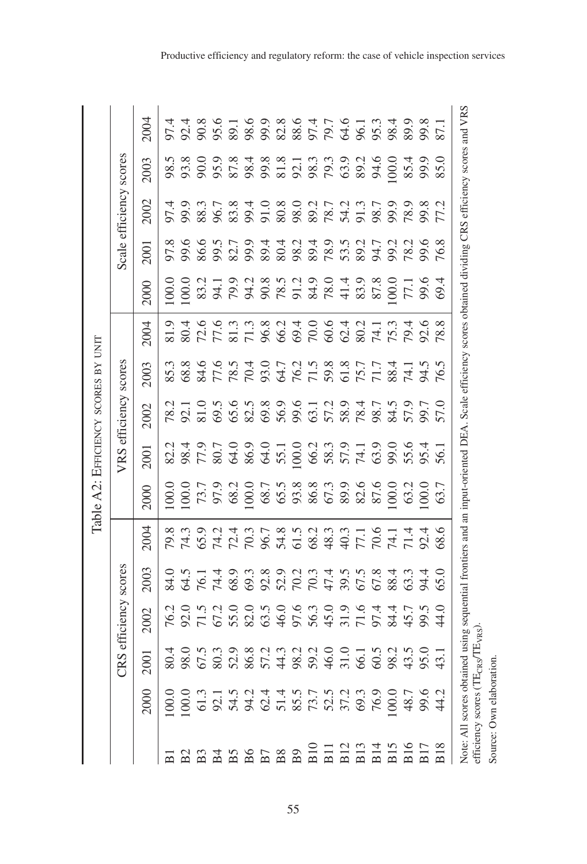|                                                                                                                                                         |                      |                      |      |      | Table A2: EFFICIENCY SCORES BY UNIT |                                                                              |                                                                                                                                                                                                                                                                               |      |                                                                                                                     |       |      |                                                                          |      |                                                                                |
|---------------------------------------------------------------------------------------------------------------------------------------------------------|----------------------|----------------------|------|------|-------------------------------------|------------------------------------------------------------------------------|-------------------------------------------------------------------------------------------------------------------------------------------------------------------------------------------------------------------------------------------------------------------------------|------|---------------------------------------------------------------------------------------------------------------------|-------|------|--------------------------------------------------------------------------|------|--------------------------------------------------------------------------------|
|                                                                                                                                                         | ජි                   | S efficiency scores  |      |      |                                     |                                                                              | VRS efficiency scores                                                                                                                                                                                                                                                         |      |                                                                                                                     |       |      | Scale efficiency scores                                                  |      |                                                                                |
| 2000                                                                                                                                                    | 2001                 | 2002                 | 2003 | 2004 | 2000                                | 2001                                                                         | 2002                                                                                                                                                                                                                                                                          | 2003 | 2004                                                                                                                | 2000  | 2001 | 2002                                                                     | 2003 | 2004                                                                           |
|                                                                                                                                                         |                      |                      |      |      | 0.00                                |                                                                              |                                                                                                                                                                                                                                                                               | 85.3 | 81.9                                                                                                                | 100.0 | 97.8 |                                                                          | 98.5 |                                                                                |
|                                                                                                                                                         |                      | 76.2<br>92.0<br>71.5 |      |      |                                     |                                                                              |                                                                                                                                                                                                                                                                               | 68.8 |                                                                                                                     | 100.0 | 99.6 |                                                                          | 93.8 |                                                                                |
|                                                                                                                                                         | 88688867488456684584 |                      |      |      |                                     | 8<br>8 8 5 8 7 8 7 8 7 8 9 8 8 8 9 9 9 0 1 0 2 8 9 8 9 8 9 8 8 8 8 8 8 8 8 8 | 78.2<br>92.1<br>81.0                                                                                                                                                                                                                                                          | 84.6 | 8 2 7 7 8 7 8 9 9 9 9 9 9 7 7 8 7 8<br>4 9 9 9 1 7 8 9 9 9 9 9 9 8 7 8 9 8 7<br>5 9 1 7 8 1 9 9 9 9 9 9 9 1 9 9 9 9 |       | 86.6 | 5 5 8 9 5 6 7 6 9 7 7 7 7 7 8 9 7<br>5 6 8 7 8 7 8 9 7 8 9 8 7 7 8 9 8 7 | 90.0 | 4 4 8 9 5 5 8 9 8 9 8 7 8 9 8 9 8 9 8<br>5 5 6 7 8 9 8 9 8 9 8 9 7 8 9 8 9 8 9 |
|                                                                                                                                                         |                      | 67.2                 |      |      |                                     |                                                                              | 69.5                                                                                                                                                                                                                                                                          |      |                                                                                                                     |       |      |                                                                          |      |                                                                                |
|                                                                                                                                                         |                      |                      |      |      |                                     |                                                                              |                                                                                                                                                                                                                                                                               |      |                                                                                                                     |       |      |                                                                          |      |                                                                                |
|                                                                                                                                                         |                      |                      |      |      |                                     |                                                                              |                                                                                                                                                                                                                                                                               |      |                                                                                                                     |       |      |                                                                          |      |                                                                                |
|                                                                                                                                                         |                      |                      |      |      |                                     |                                                                              | $\begin{array}{l} 7.69888870 \\ 2.69888870 \\ 2.6988870 \\ 2.6988870 \\ 2.6988870 \\ 2.6988870 \\ 2.6988870 \\ 2.6988870 \\ 2.6988870 \\ 2.6988870 \\ 2.6988870 \\ 2.6988870 \\ 2.6988870 \\ 2.6988870 \\ 2.6988870 \\ 2.6988870 \\ 2.6988870 \\ 2.6988870 \\ 2.6988870 \\ 2$ |      |                                                                                                                     |       |      |                                                                          |      |                                                                                |
|                                                                                                                                                         |                      |                      |      |      |                                     |                                                                              |                                                                                                                                                                                                                                                                               |      |                                                                                                                     |       |      |                                                                          |      |                                                                                |
|                                                                                                                                                         |                      |                      |      |      |                                     |                                                                              |                                                                                                                                                                                                                                                                               |      |                                                                                                                     |       |      |                                                                          |      |                                                                                |
|                                                                                                                                                         |                      |                      |      |      |                                     |                                                                              |                                                                                                                                                                                                                                                                               |      |                                                                                                                     |       |      |                                                                          |      |                                                                                |
|                                                                                                                                                         |                      |                      |      |      |                                     |                                                                              |                                                                                                                                                                                                                                                                               |      |                                                                                                                     |       |      |                                                                          |      |                                                                                |
|                                                                                                                                                         |                      |                      |      |      |                                     |                                                                              |                                                                                                                                                                                                                                                                               |      |                                                                                                                     |       |      |                                                                          |      |                                                                                |
|                                                                                                                                                         |                      |                      |      |      |                                     |                                                                              |                                                                                                                                                                                                                                                                               |      |                                                                                                                     |       |      |                                                                          |      |                                                                                |
|                                                                                                                                                         |                      |                      |      |      |                                     |                                                                              |                                                                                                                                                                                                                                                                               |      |                                                                                                                     |       |      |                                                                          | 94.6 |                                                                                |
|                                                                                                                                                         |                      | 84.4                 |      |      |                                     |                                                                              |                                                                                                                                                                                                                                                                               |      |                                                                                                                     | 00.00 |      |                                                                          | 00.0 |                                                                                |
|                                                                                                                                                         |                      | 45.7                 |      |      | 63.2                                |                                                                              |                                                                                                                                                                                                                                                                               |      |                                                                                                                     | 17.1  |      |                                                                          | 85.4 |                                                                                |
|                                                                                                                                                         |                      | 99.5<br>44.0         | 94.4 |      | 0.00                                |                                                                              |                                                                                                                                                                                                                                                                               |      |                                                                                                                     | 99.6  |      | 99.8<br>77.2                                                             | 99.9 |                                                                                |
|                                                                                                                                                         |                      |                      | 65.0 |      | 63.7                                |                                                                              | 57.0                                                                                                                                                                                                                                                                          |      |                                                                                                                     | 69.4  |      |                                                                          | 85.0 |                                                                                |
| Note: All scores obtained using sequential frontiers and an input-oriented DEA. Scale efficiency scores obtained dividing CRS efficiency scores and VRS |                      |                      |      |      |                                     |                                                                              |                                                                                                                                                                                                                                                                               |      |                                                                                                                     |       |      |                                                                          |      |                                                                                |
| efficiency scores (TE <sub>CRS</sub> /TE <sub>VRS</sub> )                                                                                               |                      |                      |      |      |                                     |                                                                              |                                                                                                                                                                                                                                                                               |      |                                                                                                                     |       |      |                                                                          |      |                                                                                |
| Source: Own elaboration                                                                                                                                 |                      |                      |      |      |                                     |                                                                              |                                                                                                                                                                                                                                                                               |      |                                                                                                                     |       |      |                                                                          |      |                                                                                |

55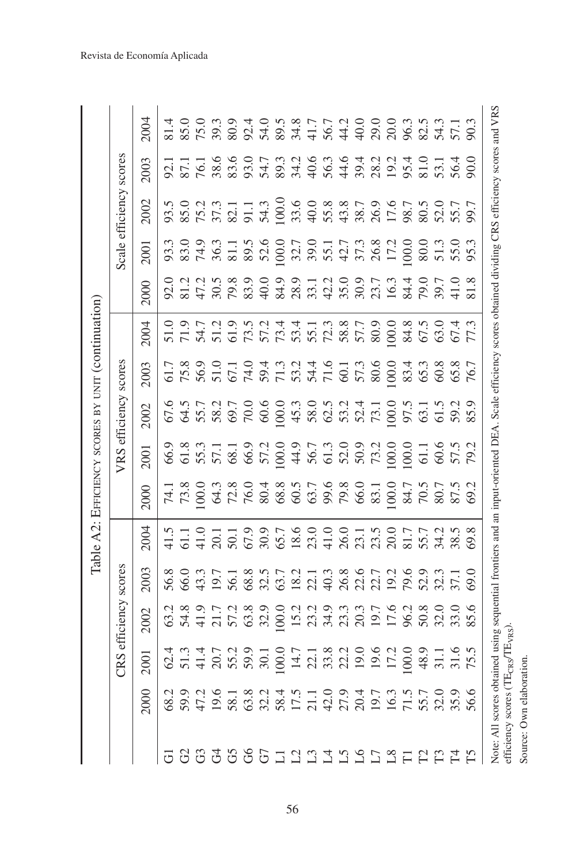|                    |                                                                |                              |            |                                                                                                                                                                                          | Table A2: EFFICIENCY SCORES BY UNIT (continuation)                                                                                                                                                                 |                                                                                                                                                                                                                                                                                                                                                                                                                                                                                                                                         |      |                                                                                          |        |                         |      |                                  |                         |      |      |
|--------------------|----------------------------------------------------------------|------------------------------|------------|------------------------------------------------------------------------------------------------------------------------------------------------------------------------------------------|--------------------------------------------------------------------------------------------------------------------------------------------------------------------------------------------------------------------|-----------------------------------------------------------------------------------------------------------------------------------------------------------------------------------------------------------------------------------------------------------------------------------------------------------------------------------------------------------------------------------------------------------------------------------------------------------------------------------------------------------------------------------------|------|------------------------------------------------------------------------------------------|--------|-------------------------|------|----------------------------------|-------------------------|------|------|
|                    |                                                                | CRS                          | efficiency | scores                                                                                                                                                                                   |                                                                                                                                                                                                                    |                                                                                                                                                                                                                                                                                                                                                                                                                                                                                                                                         |      | VRS efficiency                                                                           | scores |                         |      |                                  | Scale efficiency scores |      |      |
|                    | 2000                                                           | 2001                         | 2002       | 2003                                                                                                                                                                                     | 2004                                                                                                                                                                                                               | 2000                                                                                                                                                                                                                                                                                                                                                                                                                                                                                                                                    | 2001 | 2002                                                                                     | 2003   | 2004                    | 2000 | 2001                             | 2002                    | 2003 | 2004 |
|                    |                                                                |                              |            |                                                                                                                                                                                          |                                                                                                                                                                                                                    |                                                                                                                                                                                                                                                                                                                                                                                                                                                                                                                                         |      |                                                                                          |        |                         |      |                                  |                         |      |      |
|                    |                                                                |                              |            |                                                                                                                                                                                          |                                                                                                                                                                                                                    |                                                                                                                                                                                                                                                                                                                                                                                                                                                                                                                                         |      |                                                                                          |        |                         |      |                                  |                         |      |      |
|                    |                                                                |                              |            |                                                                                                                                                                                          |                                                                                                                                                                                                                    |                                                                                                                                                                                                                                                                                                                                                                                                                                                                                                                                         |      |                                                                                          |        |                         |      |                                  |                         |      |      |
| GGGGGGG1GG1GGCGE66 |                                                                |                              |            | 8 0 0 1 0 1 0 8 9 0 0 1 1 1 1 8 9 0 0 1 1 0 0 1 1 0 0 1 1 0 0 1 1 0 0 1 1 0 0 1 1 0 0 1 1 0 0 1 1 0 0 1 1 0 1<br>6 0 0 1 0 1 0 8 0 1 0 2 1 0 2 1 0 2 1 0 1 1 0 1 1 0 1 1 0 1 1 0 1 1 0 1 | 5 1 1 0 1 1 9 0 5 6 9 0 0 0 0 1 5 0 0 1 5 6 9 0 0 1 5 0 0 1 5 6 9 0 1 5 6 9 0 1 5 6 9 0 1 5 6 9 0 1 6 0 1 6 0<br>4 5 4 5 6 6 6 6 6 9 7 8 7 8 7 8 7 8 7 8 9 9 0 1 7 8 9 9 0 1 8 9 0 1 7 9 9 9 0 1 8 9 0 1 7 9 9 9 1 | $\begin{array}{l} \Xi \; \overset{\alpha}{\sim} \; \overset{\alpha}{\sim} \; \overset{\alpha}{\sim} \; \overset{\alpha}{\sim} \; \overset{\alpha}{\sim} \; \overset{\alpha}{\sim} \; \overset{\alpha}{\sim} \; \overset{\alpha}{\sim} \; \overset{\alpha}{\sim} \; \overset{\alpha}{\sim} \; \overset{\alpha}{\sim} \; \overset{\alpha}{\sim} \; \overset{\alpha}{\sim} \; \overset{\alpha}{\sim} \; \overset{\alpha}{\sim} \; \overset{\alpha}{\sim} \; \overset{\alpha}{\sim} \; \overset{\alpha}{\sim} \; \overset{\alpha}{\sim} \;$ |      | 6<br>6 3 5 6 6 6 6 6 6 6 7 8 9 7 8 9 6 7 6 7 6 7 8 9 7 8 7 8 7 7 8 7 8 9 7 8 7 8 9 7 8 9 |        | SUR RESERENCE SON POSTE |      | $3.8778888888888787878588888888$ |                         |      |      |
|                    |                                                                |                              |            |                                                                                                                                                                                          |                                                                                                                                                                                                                    |                                                                                                                                                                                                                                                                                                                                                                                                                                                                                                                                         |      |                                                                                          |        |                         |      |                                  |                         |      |      |
|                    |                                                                |                              |            |                                                                                                                                                                                          |                                                                                                                                                                                                                    |                                                                                                                                                                                                                                                                                                                                                                                                                                                                                                                                         |      |                                                                                          |        |                         |      |                                  |                         |      |      |
|                    |                                                                |                              |            |                                                                                                                                                                                          |                                                                                                                                                                                                                    |                                                                                                                                                                                                                                                                                                                                                                                                                                                                                                                                         |      |                                                                                          |        |                         |      |                                  |                         |      |      |
|                    |                                                                |                              |            |                                                                                                                                                                                          |                                                                                                                                                                                                                    |                                                                                                                                                                                                                                                                                                                                                                                                                                                                                                                                         |      |                                                                                          |        |                         |      |                                  |                         |      |      |
|                    |                                                                |                              |            |                                                                                                                                                                                          |                                                                                                                                                                                                                    |                                                                                                                                                                                                                                                                                                                                                                                                                                                                                                                                         |      |                                                                                          |        |                         |      |                                  |                         |      |      |
|                    |                                                                |                              |            |                                                                                                                                                                                          |                                                                                                                                                                                                                    |                                                                                                                                                                                                                                                                                                                                                                                                                                                                                                                                         |      |                                                                                          |        |                         |      |                                  |                         |      |      |
|                    |                                                                |                              |            |                                                                                                                                                                                          |                                                                                                                                                                                                                    |                                                                                                                                                                                                                                                                                                                                                                                                                                                                                                                                         |      |                                                                                          |        |                         |      |                                  |                         |      |      |
|                    |                                                                |                              |            |                                                                                                                                                                                          |                                                                                                                                                                                                                    |                                                                                                                                                                                                                                                                                                                                                                                                                                                                                                                                         |      |                                                                                          |        |                         |      |                                  |                         |      |      |
|                    |                                                                |                              |            |                                                                                                                                                                                          |                                                                                                                                                                                                                    |                                                                                                                                                                                                                                                                                                                                                                                                                                                                                                                                         |      |                                                                                          |        |                         |      |                                  |                         |      |      |
|                    |                                                                |                              |            |                                                                                                                                                                                          |                                                                                                                                                                                                                    |                                                                                                                                                                                                                                                                                                                                                                                                                                                                                                                                         |      |                                                                                          |        |                         |      |                                  |                         |      |      |
|                    |                                                                |                              |            |                                                                                                                                                                                          |                                                                                                                                                                                                                    |                                                                                                                                                                                                                                                                                                                                                                                                                                                                                                                                         |      |                                                                                          |        |                         |      |                                  |                         |      |      |
|                    |                                                                |                              |            |                                                                                                                                                                                          |                                                                                                                                                                                                                    |                                                                                                                                                                                                                                                                                                                                                                                                                                                                                                                                         |      |                                                                                          |        |                         |      |                                  |                         |      |      |
|                    |                                                                |                              |            |                                                                                                                                                                                          |                                                                                                                                                                                                                    |                                                                                                                                                                                                                                                                                                                                                                                                                                                                                                                                         |      |                                                                                          |        |                         |      |                                  |                         |      |      |
|                    |                                                                |                              |            |                                                                                                                                                                                          |                                                                                                                                                                                                                    |                                                                                                                                                                                                                                                                                                                                                                                                                                                                                                                                         |      |                                                                                          |        |                         |      |                                  |                         |      |      |
|                    |                                                                |                              |            |                                                                                                                                                                                          |                                                                                                                                                                                                                    |                                                                                                                                                                                                                                                                                                                                                                                                                                                                                                                                         |      |                                                                                          |        |                         |      |                                  |                         |      |      |
|                    |                                                                |                              |            |                                                                                                                                                                                          |                                                                                                                                                                                                                    |                                                                                                                                                                                                                                                                                                                                                                                                                                                                                                                                         |      |                                                                                          |        |                         |      |                                  |                         |      |      |
|                    | efficiency scores (TE <sub>CR</sub><br>Note: All scores obtain | $_{\rm 8}/\rm TE_{\rm VRS})$ |            |                                                                                                                                                                                          | ed using sequential frontiers and an input-oriented DEA. Scale efficiency scores obtained dividing CRS efficiency scores and VRS                                                                                   |                                                                                                                                                                                                                                                                                                                                                                                                                                                                                                                                         |      |                                                                                          |        |                         |      |                                  |                         |      |      |

56

Source: Own elaboration.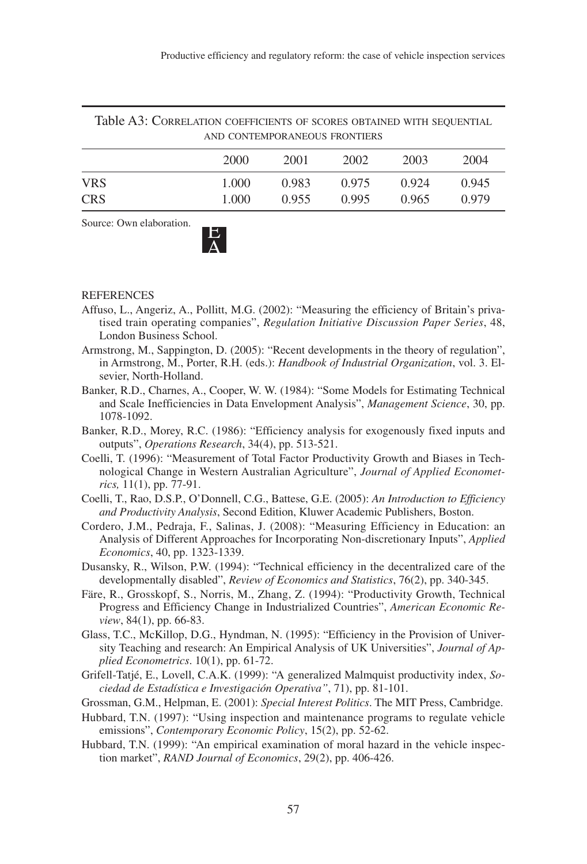| Table A3: CORRELATION COEFFICIENTS OF SCORES OBTAINED WITH SEQUENTIAL | AND CONTEMPORANEOUS FRONTIERS |       |       |       |       |
|-----------------------------------------------------------------------|-------------------------------|-------|-------|-------|-------|
|                                                                       | 2000                          | 2001  | 2002  | 2003  | 2004  |
| <b>VRS</b>                                                            | 1.000                         | 0.983 | 0.975 | 0.924 | 0.945 |
| <b>CRS</b>                                                            | 1.000                         | 0.955 | 0.995 | 0.965 | 0.979 |

Source: Own elaboration.

# A

#### REFERENCES

- Affuso, L., Angeriz, A., Pollitt, M.G. (2002): "Measuring the efficiency of Britain's privatised train operating companies", *Regulation Initiative Discussion Paper Series*, 48, London Business School.
- Armstrong, M., Sappington, D. (2005): "Recent developments in the theory of regulation", in Armstrong, M., Porter, R.H. (eds.): *Handbook of Industrial Organization*, vol. 3. Elsevier, North-Holland.
- Banker, R.D., Charnes, A., Cooper, W. W. (1984): "Some Models for Estimating Technical and Scale Inefficiencies in Data Envelopment Analysis", *Management Science*, 30, pp. 1078-1092.
- Banker, R.D., Morey, R.C. (1986): "Efficiency analysis for exogenously fixed inputs and outputs", *Operations Research*, 34(4), pp. 513-521.
- Coelli, T. (1996): "Measurement of Total Factor Productivity Growth and Biases in Technological Change in Western Australian Agriculture", *Journal of Applied Econometrics,* 11(1), pp. 77-91.
- Coelli, T., Rao, D.S.P., O'Donnell, C.G., Battese, G.E. (2005): *An Introduction to Efficiency and Productivity Analysis*, Second Edition, Kluwer Academic Publishers, Boston.
- Cordero, J.M., Pedraja, F., Salinas, J. (2008): "Measuring Efficiency in Education: an Analysis of Different Approaches for Incorporating Non-discretionary Inputs", *Applied Economics*, 40, pp. 1323-1339.
- Dusansky, R., Wilson, P.W. (1994): "Technical efficiency in the decentralized care of the developmentally disabled", *Review of Economics and Statistics*, 76(2), pp. 340-345.
- Färe, R., Grosskopf, S., Norris, M., Zhang, Z. (1994): "Productivity Growth, Technical Progress and Efficiency Change in Industrialized Countries", *American Economic Review*, 84(1), pp. 66-83.
- Glass, T.C., McKillop, D.G., Hyndman, N. (1995): "Efficiency in the Provision of University Teaching and research: An Empirical Analysis of UK Universities", *Journal of Applied Econometrics*. 10(1), pp. 61-72.
- Grifell-Tatjé, E., Lovell, C.A.K. (1999): "A generalized Malmquist productivity index, *Sociedad de Estadística e Investigación Operativa"*, 71), pp. 81-101.
- Grossman, G.M., Helpman, E. (2001): *Special Interest Politics*. The MIT Press, Cambridge.
- Hubbard, T.N. (1997): "Using inspection and maintenance programs to regulate vehicle emissions", *Contemporary Economic Policy*, 15(2), pp. 52-62.
- Hubbard, T.N. (1999): "An empirical examination of moral hazard in the vehicle inspection market", *RAND Journal of Economics*, 29(2), pp. 406-426.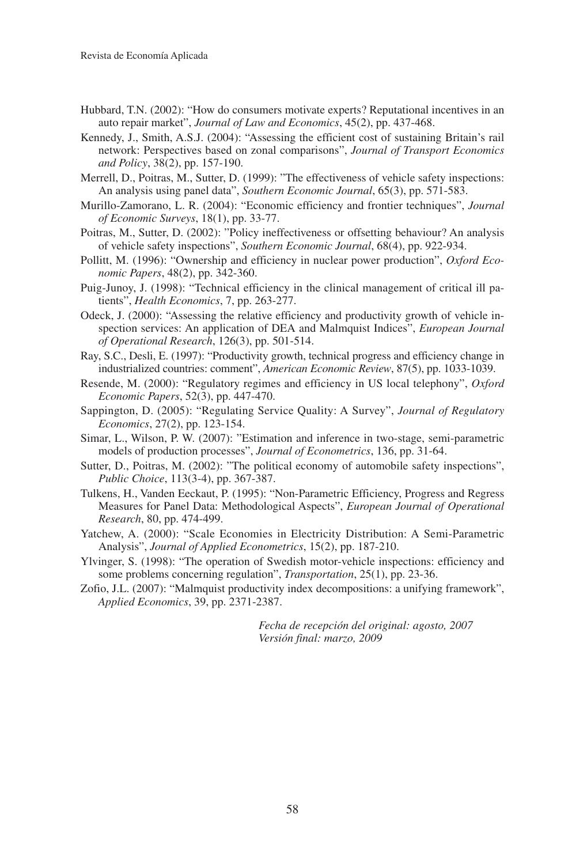- Hubbard, T.N. (2002): "How do consumers motivate experts? Reputational incentives in an auto repair market", *Journal of Law and Economics*, 45(2), pp. 437-468.
- Kennedy, J., Smith, A.S.J. (2004): "Assessing the efficient cost of sustaining Britain's rail network: Perspectives based on zonal comparisons", *Journal of Transport Economics and Policy*, 38(2), pp. 157-190.
- Merrell, D., Poitras, M., Sutter, D. (1999): "The effectiveness of vehicle safety inspections: An analysis using panel data", *Southern Economic Journal*, 65(3), pp. 571-583.
- Murillo-Zamorano, L. R. (2004): "Economic efficiency and frontier techniques", *Journal of Economic Surveys*, 18(1), pp. 33-77.
- Poitras, M., Sutter, D. (2002): "Policy ineffectiveness or offsetting behaviour? An analysis of vehicle safety inspections", *Southern Economic Journal*, 68(4), pp. 922-934.
- Pollitt, M. (1996): "Ownership and efficiency in nuclear power production", *Oxford Economic Papers*, 48(2), pp. 342-360.
- Puig-Junoy, J. (1998): "Technical efficiency in the clinical management of critical ill patients", *Health Economics*, 7, pp. 263-277.
- Odeck, J. (2000): "Assessing the relative efficiency and productivity growth of vehicle inspection services: An application of DEA and Malmquist Indices", *European Journal of Operational Research*, 126(3), pp. 501-514.
- Ray, S.C., Desli, E. (1997): "Productivity growth, technical progress and efficiency change in industrialized countries: comment", *American Economic Review*, 87(5), pp. 1033-1039.
- Resende, M. (2000): "Regulatory regimes and efficiency in US local telephony", *Oxford Economic Papers*, 52(3), pp. 447-470.
- Sappington, D. (2005): "Regulating Service Quality: A Survey", *Journal of Regulatory Economics*, 27(2), pp. 123-154.
- Simar, L., Wilson, P. W. (2007): "Estimation and inference in two-stage, semi-parametric models of production processes", *Journal of Econometrics*, 136, pp. 31-64.
- Sutter, D., Poitras, M. (2002): "The political economy of automobile safety inspections", *Public Choice*, 113(3-4), pp. 367-387.
- Tulkens, H., Vanden Eeckaut, P. (1995): "Non-Parametric Efficiency, Progress and Regress Measures for Panel Data: Methodological Aspects", *European Journal of Operational Research*, 80, pp. 474-499.
- Yatchew, A. (2000): "Scale Economies in Electricity Distribution: A Semi-Parametric Analysis", *Journal of Applied Econometrics*, 15(2), pp. 187-210.
- Ylvinger, S. (1998): "The operation of Swedish motor-vehicle inspections: efficiency and some problems concerning regulation", *Transportation*, 25(1), pp. 23-36.
- Zofio, J.L. (2007): "Malmquist productivity index decompositions: a unifying framework", *Applied Economics*, 39, pp. 2371-2387.

*Fecha de recepción del original: agosto, 2007 Versión final: marzo, 2009*